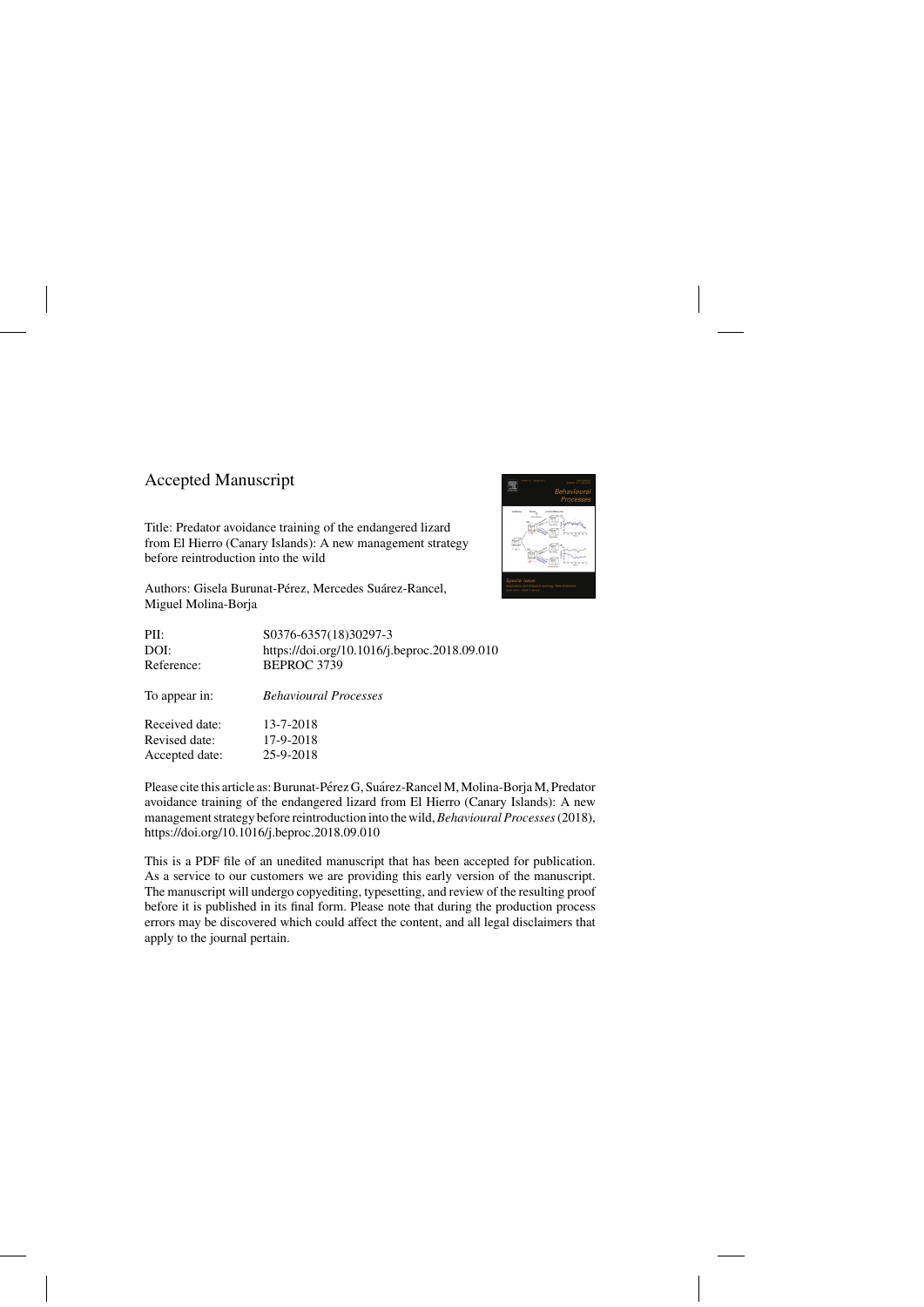## Accepted Manuscript

Title: Predator avoidance training of the endangered lizard from El Hierro (Canary Islands): A new management strategy before reintroduction into the wild

Authors: Gisela Burunat-Pérez, Mercedes Suárez-Rancel, Miguel Molina-Borja

| S0376-6357(18)30297-3                        |
|----------------------------------------------|
| https://doi.org/10.1016/j.beproc.2018.09.010 |
| BEPROC 3739                                  |
| <b>Behavioural Processes</b>                 |
| 13-7-2018                                    |
| 17-9-2018                                    |
| 25-9-2018                                    |
|                                              |

Please cite this article as: Burunat-Pérez G, Suárez-Rancel M, Molina-Borja M, Predator avoidance training of the endangered lizard from El Hierro (Canary Islands): A new management strategy before reintroduction into the wild,*Behavioural Processes*(2018), <https://doi.org/10.1016/j.beproc.2018.09.010>

This is a PDF file of an unedited manuscript that has been accepted for publication. As a service to our customers we are providing this early version of the manuscript. The manuscript will undergo copyediting, typesetting, and review of the resulting proof before it is published in its final form. Please note that during the production process errors may be discovered which could affect the content, and all legal disclaimers that apply to the journal pertain.

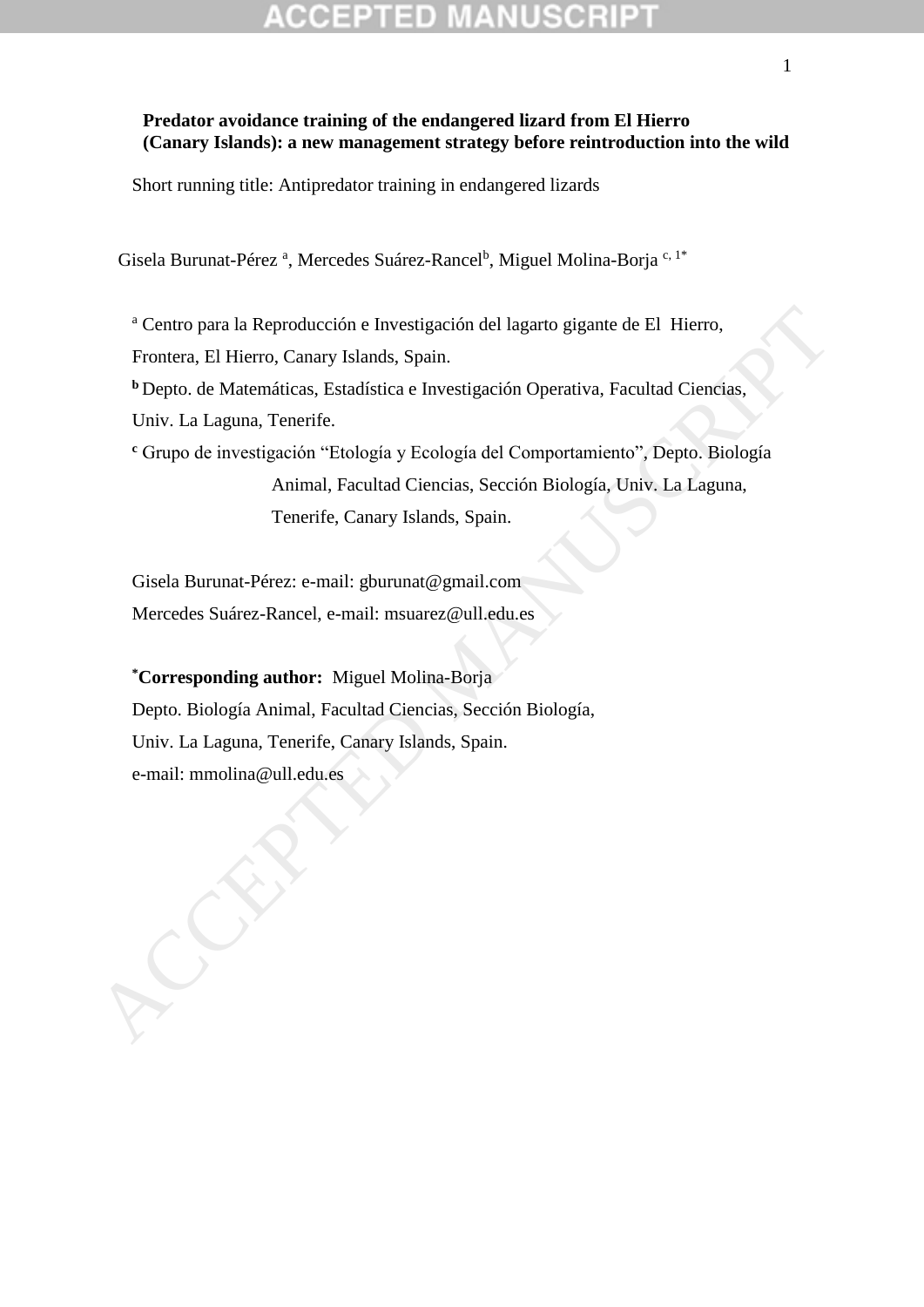## **Predator avoidance training of the endangered lizard from El Hierro (Canary Islands): a new management strategy before reintroduction into the wild**

Short running title: Antipredator training in endangered lizards

Gisela Burunat-Pérez<sup>a</sup>, Mercedes Suárez-Rancel<sup>b</sup>, Miguel Molina-Borja<sup>c, 1\*</sup>

<sup>a</sup> Centro para la Reproducción e Investigación del lagarto gigante de El Hierro,

Frontera, El Hierro, Canary Islands, Spain.

**<sup>b</sup>**Depto. de Matemáticas, Estadística e Investigación Operativa, Facultad Ciencias,

Univ. La Laguna, Tenerife.

**<sup>c</sup>** Grupo de investigación "Etología y Ecología del Comportamiento", Depto. Biología Animal, Facultad Ciencias, Sección Biología, Univ. La Laguna, Tenerife, Canary Islands, Spain.

Gisela Burunat-Pérez: e-mail: gburunat@gmail.com Mercedes Suárez-Rancel, e-mail: msuarez@ull.edu.es

**\*Corresponding author:** Miguel Molina-Borja Depto. Biología Animal, Facultad Ciencias, Sección Biología, Univ. La Laguna, Tenerife, Canary Islands, Spain. e-mail: Herro, Canary Islands, Spain.<br>
Crontera, El Hierro, Canary Islands, Spain.<br>
Popto. de Matemáticas, Estadística e Investigación Operativa, Facultad Ciencias, Univ. La Laguna, Tenerie.<br>
Cirque de investigación "Etolo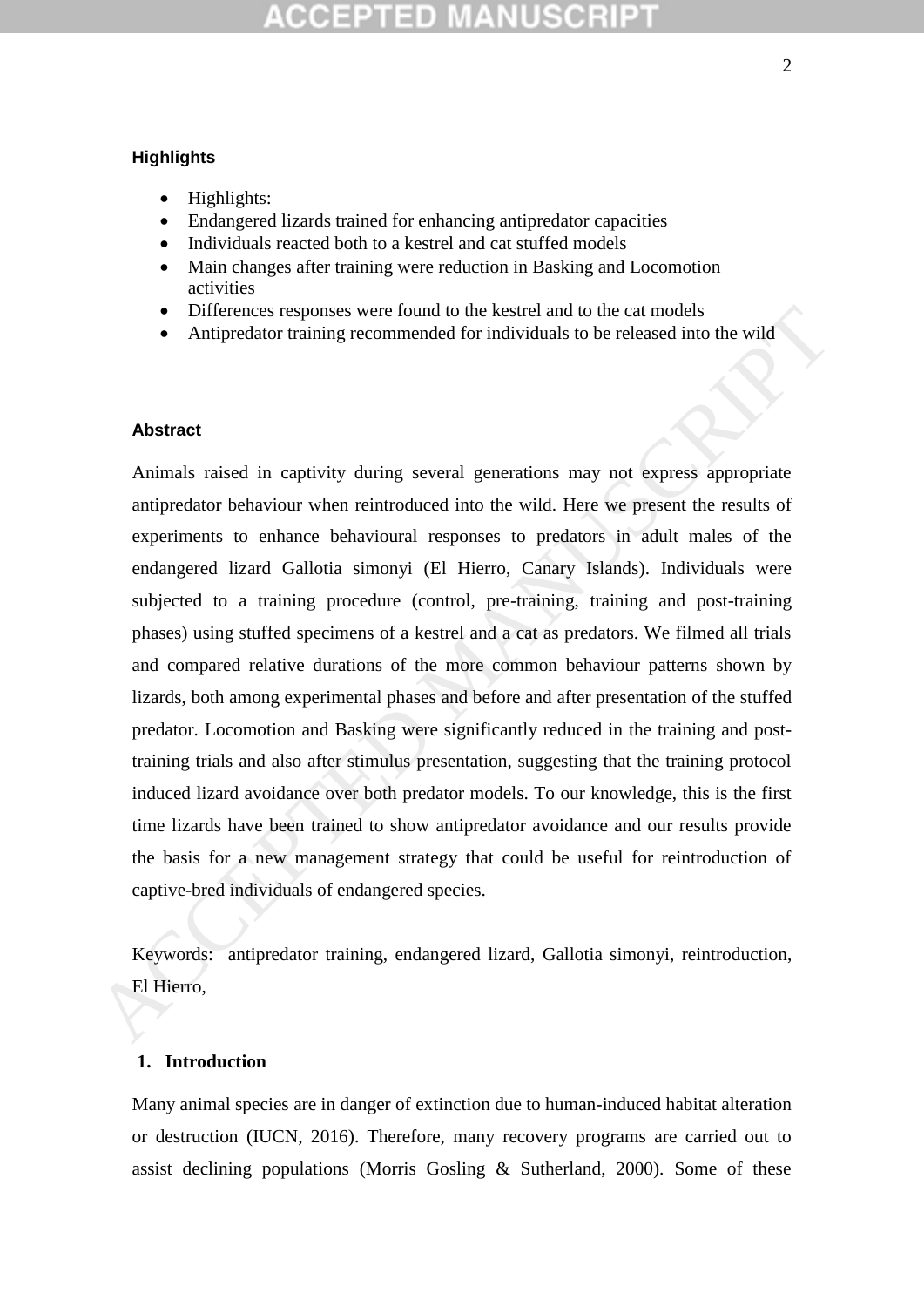### **Highlights**

- Highlights:
- Endangered lizards trained for enhancing antipredator capacities
- Individuals reacted both to a kestrel and cat stuffed models
- Main changes after training were reduction in Basking and Locomotion activities
- Differences responses were found to the kestrel and to the cat models
- Antipredator training recommended for individuals to be released into the wild

### **Abstract**

Animals raised in captivity during several generations may not express appropriate antipredator behaviour when reintroduced into the wild. Here we present the results of experiments to enhance behavioural responses to predators in adult males of the endangered lizard Gallotia simonyi (El Hierro, Canary Islands). Individuals were subjected to a training procedure (control, pre-training, training and post-training phases) using stuffed specimens of a kestrel and a cat as predators. We filmed all trials and compared relative durations of the more common behaviour patterns shown by lizards, both among experimental phases and before and after presentation of the stuffed predator. Locomotion and Basking were significantly reduced in the training and posttraining trials and also after stimulus presentation, suggesting that the training protocol induced lizard avoidance over both predator models. To our knowledge, this is the first time lizards have been trained to show antipredator avoidance and our results provide the basis for a new management strategy that could be useful for reintroduction of captive-bred individuals of endangered species. • Differences responses were found to the kestrel and to the cat models<br>• Antipredator training recommended for individuals to be released into the wild<br>
Abstract<br>
Animals raised in captivity during several generations may

Keywords: antipredator training, endangered lizard, Gallotia simonyi, reintroduction, El Hierro,

## **1. Introduction**

Many animal species are in danger of extinction due to human-induced habitat alteration or destruction (IUCN, 2016). Therefore, many recovery programs are carried out to assist declining populations (Morris Gosling & Sutherland, 2000). Some of these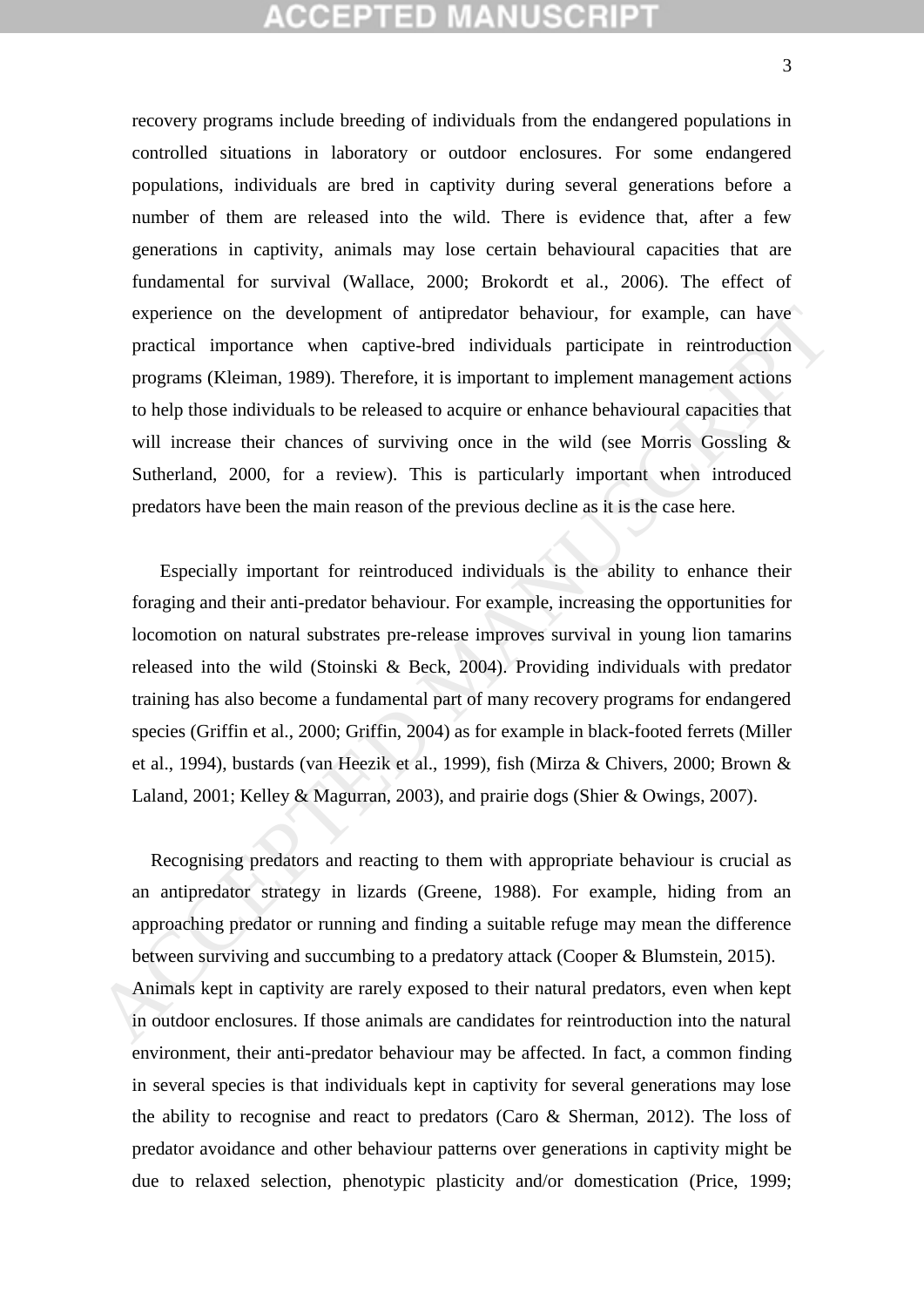## CCEPTED MANUSCRIP

recovery programs include breeding of individuals from the endangered populations in controlled situations in laboratory or outdoor enclosures. For some endangered populations, individuals are bred in captivity during several generations before a number of them are released into the wild. There is evidence that, after a few generations in captivity, animals may lose certain behavioural capacities that are fundamental for survival (Wallace, 2000; Brokordt et al., 2006). The effect of experience on the development of antipredator behaviour, for example, can have practical importance when captive-bred individuals participate in reintroduction programs (Kleiman, 1989). Therefore, it is important to implement management actions to help those individuals to be released to acquire or enhance behavioural capacities that will increase their chances of surviving once in the wild (see Morris Gossling & Sutherland, 2000, for a review). This is particularly important when introduced predators have been the main reason of the previous decline as it is the case here.

 Especially important for reintroduced individuals is the ability to enhance their foraging and their anti-predator behaviour. For example, increasing the opportunities for locomotion on natural substrates pre-release improves survival in young lion tamarins released into the wild (Stoinski & Beck, 2004). Providing individuals with predator training has also become a fundamental part of many recovery programs for endangered species (Griffin et al., 2000; Griffin, 2004) as for example in black-footed ferrets (Miller et al., 1994), bustards (van Heezik et al., 1999), fish (Mirza & Chivers, 2000; Brown & Laland, 2001; Kelley & Magurran, 2003), and prairie dogs (Shier & Owings, 2007). experience on the development of antipredator behaviour, for example, can have<br>practical importance when captive-bred individuals participate in reintroduction<br>programs (Kleiman, 1989). Therefore, it is important to imple

 Recognising predators and reacting to them with appropriate behaviour is crucial as an antipredator strategy in lizards (Greene, 1988). For example, hiding from an approaching predator or running and finding a suitable refuge may mean the difference between surviving and succumbing to a predatory attack (Cooper & Blumstein, 2015). Animals kept in captivity are rarely exposed to their natural predators, even when kept in outdoor enclosures. If those animals are candidates for reintroduction into the natural environment, their anti-predator behaviour may be affected. In fact, a common finding in several species is that individuals kept in captivity for several generations may lose the ability to recognise and react to predators (Caro & Sherman, 2012). The loss of predator avoidance and other behaviour patterns over generations in captivity might be due to relaxed selection, phenotypic plasticity and/or domestication (Price, 1999;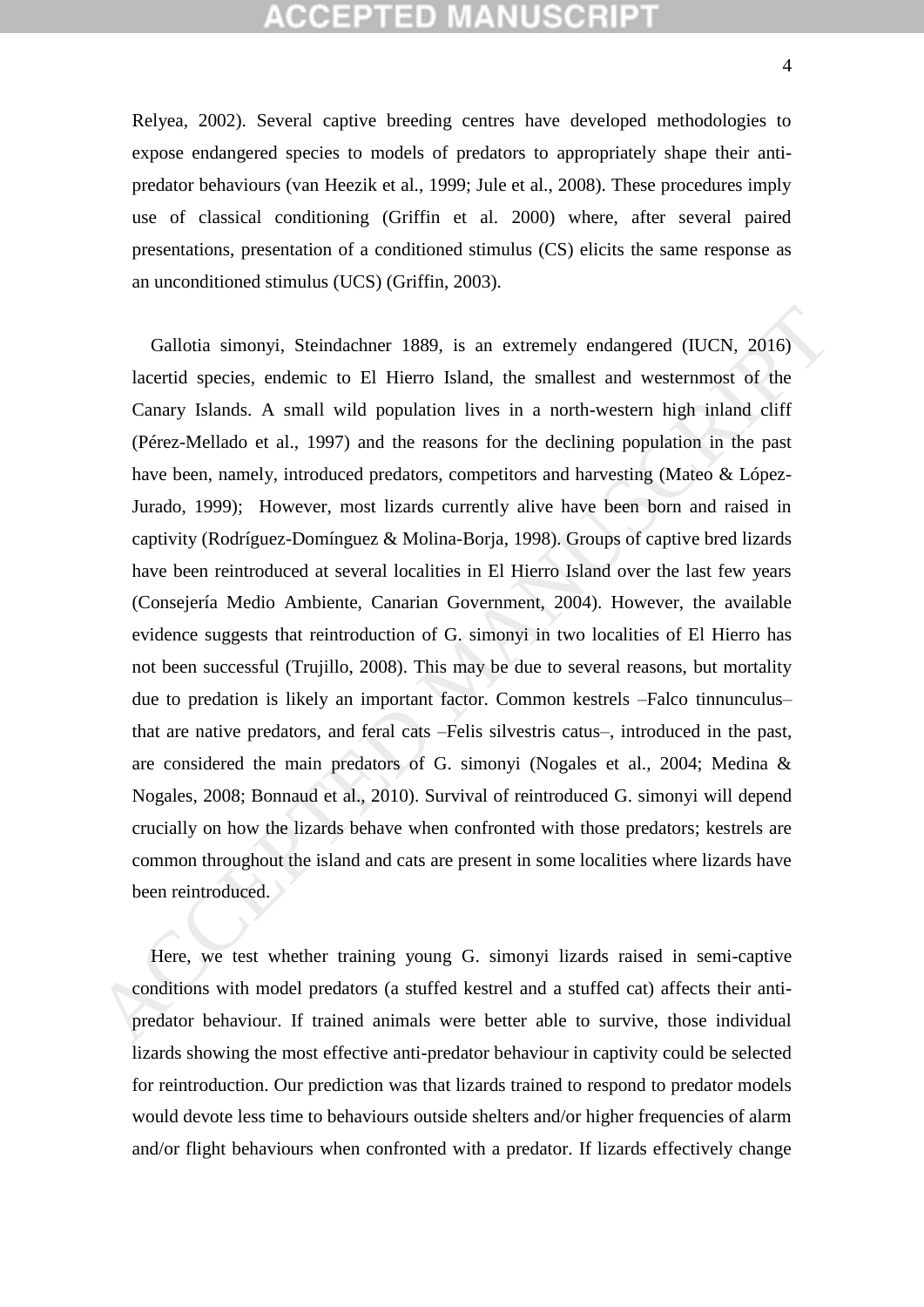## :CEPTED M

Relyea, 2002). Several captive breeding centres have developed methodologies to expose endangered species to models of predators to appropriately shape their antipredator behaviours (van Heezik et al., 1999; Jule et al., 2008). These procedures imply use of classical conditioning (Griffin et al. 2000) where, after several paired presentations, presentation of a conditioned stimulus (CS) elicits the same response as an unconditioned stimulus (UCS) (Griffin, 2003).

 Gallotia simonyi, Steindachner 1889, is an extremely endangered (IUCN, 2016) lacertid species, endemic to El Hierro Island, the smallest and westernmost of the Canary Islands. A small wild population lives in a north-western high inland cliff (Pérez-Mellado et al., 1997) and the reasons for the declining population in the past have been, namely, introduced predators, competitors and harvesting (Mateo & López-Jurado, 1999); However, most lizards currently alive have been born and raised in captivity (Rodríguez-Domínguez & Molina-Borja, 1998). Groups of captive bred lizards have been reintroduced at several localities in El Hierro Island over the last few years (Consejería Medio Ambiente, Canarian Government, 2004). However, the available evidence suggests that reintroduction of G. simonyi in two localities of El Hierro has not been successful (Trujillo, 2008). This may be due to several reasons, but mortality due to predation is likely an important factor. Common kestrels –Falco tinnunculus– that are native predators, and feral cats –Felis silvestris catus–, introduced in the past, are considered the main predators of G. simonyi (Nogales et al., 2004; Medina & Nogales, 2008; Bonnaud et al., 2010). Survival of reintroduced G. simonyi will depend crucially on how the lizards behave when confronted with those predators; kestrels are common throughout the island and cats are present in some localities where lizards have been reintroduced. Gallotia simonyi, Steindachner 1889, is an extremely endangered (IUCN, 2016)<br>lacertid species, endemic to El Hierro Island, the smallest and westernmost of the<br>Canary Islands. A small wild population lives in a north-west

 Here, we test whether training young G. simonyi lizards raised in semi-captive conditions with model predators (a stuffed kestrel and a stuffed cat) affects their antipredator behaviour. If trained animals were better able to survive, those individual lizards showing the most effective anti-predator behaviour in captivity could be selected for reintroduction. Our prediction was that lizards trained to respond to predator models would devote less time to behaviours outside shelters and/or higher frequencies of alarm and/or flight behaviours when confronted with a predator. If lizards effectively change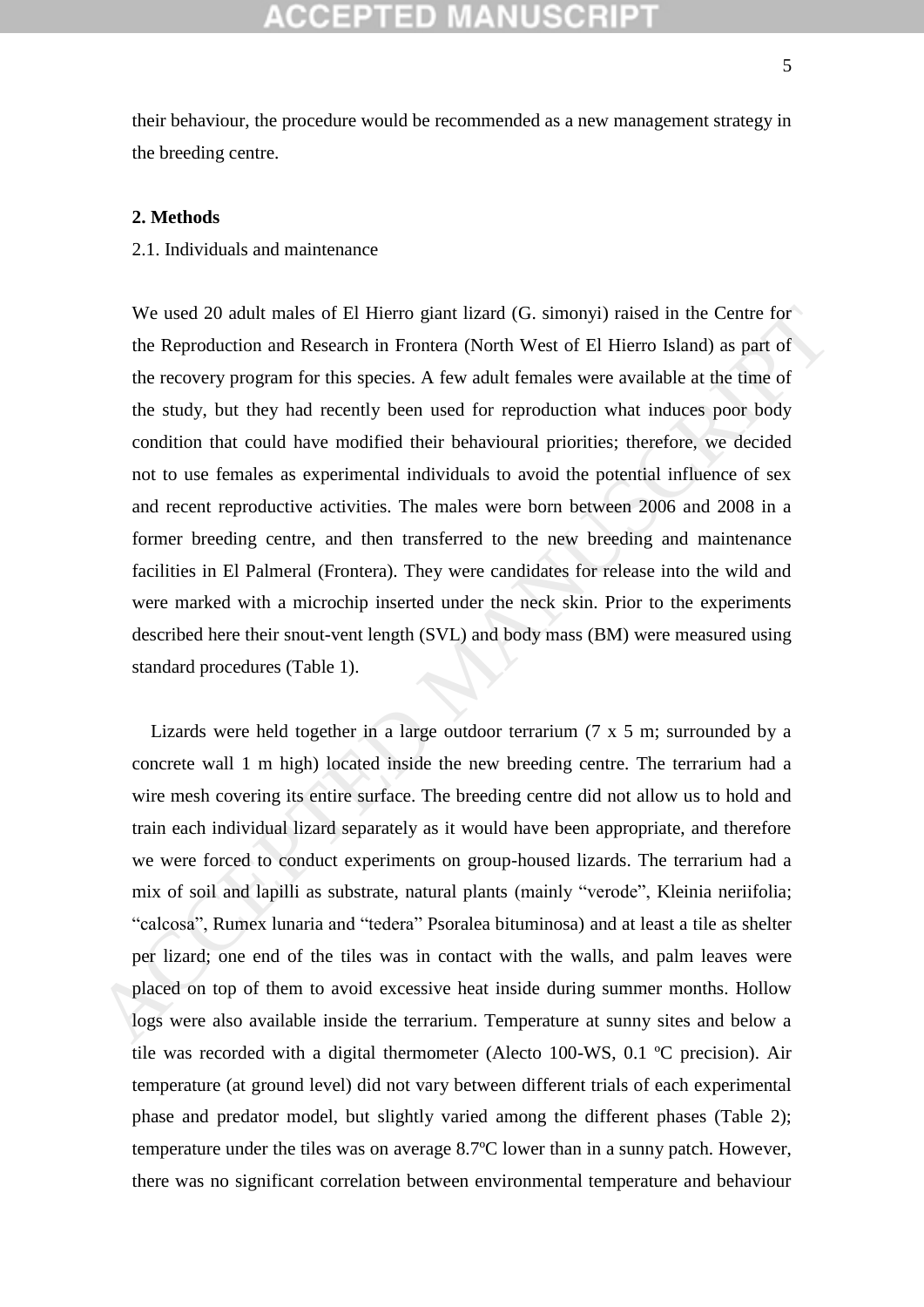## KGEPTED M

their behaviour, the procedure would be recommended as a new management strategy in the breeding centre.

### **2. Methods**

2.1. Individuals and maintenance

We used 20 adult males of El Hierro giant lizard (G. simonyi) raised in the Centre for the Reproduction and Research in Frontera (North West of El Hierro Island) as part of the recovery program for this species. A few adult females were available at the time of the study, but they had recently been used for reproduction what induces poor body condition that could have modified their behavioural priorities; therefore, we decided not to use females as experimental individuals to avoid the potential influence of sex and recent reproductive activities. The males were born between 2006 and 2008 in a former breeding centre, and then transferred to the new breeding and maintenance facilities in El Palmeral (Frontera). They were candidates for release into the wild and were marked with a microchip inserted under the neck skin. Prior to the experiments described here their snout-vent length (SVL) and body mass (BM) were measured using standard procedures (Table 1). We used 20 adult males of El Hierro giant lizard (G. simonyi) raised in the Centre for<br>the Reproduction and Research in Frontera (North West of El Hierro Island) as part of<br>the recovery program for this species. A few adu

 Lizards were held together in a large outdoor terrarium (7 x 5 m; surrounded by a concrete wall 1 m high) located inside the new breeding centre. The terrarium had a wire mesh covering its entire surface. The breeding centre did not allow us to hold and train each individual lizard separately as it would have been appropriate, and therefore we were forced to conduct experiments on group-housed lizards. The terrarium had a mix of soil and lapilli as substrate, natural plants (mainly "verode", Kleinia neriifolia; "calcosa", Rumex lunaria and "tedera" Psoralea bituminosa) and at least a tile as shelter per lizard; one end of the tiles was in contact with the walls, and palm leaves were placed on top of them to avoid excessive heat inside during summer months. Hollow logs were also available inside the terrarium. Temperature at sunny sites and below a tile was recorded with a digital thermometer (Alecto 100-WS, 0.1 ºC precision). Air temperature (at ground level) did not vary between different trials of each experimental phase and predator model, but slightly varied among the different phases (Table 2); temperature under the tiles was on average 8.7ºC lower than in a sunny patch. However, there was no significant correlation between environmental temperature and behaviour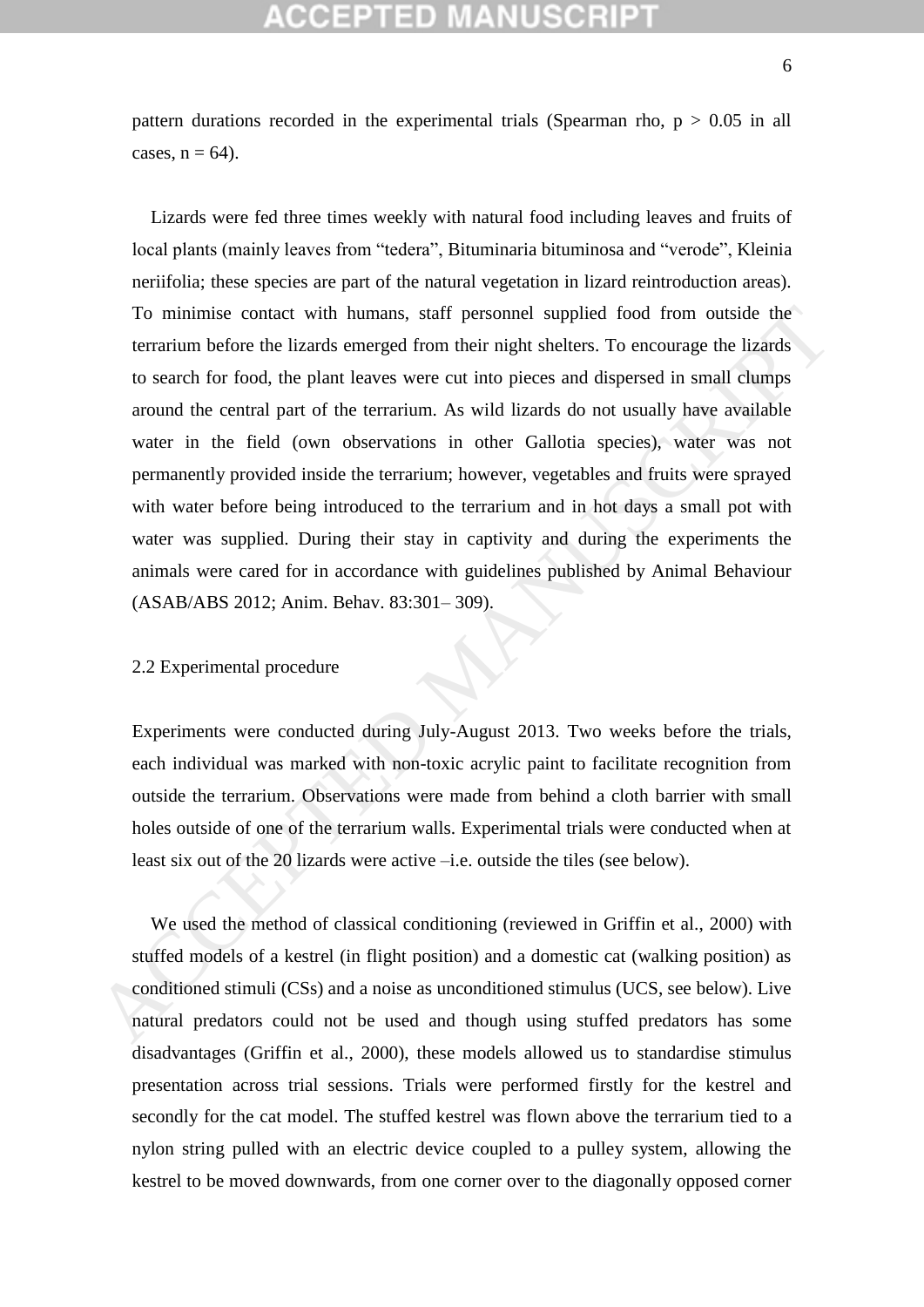## :CEPTED M

pattern durations recorded in the experimental trials (Spearman rho,  $p > 0.05$  in all cases,  $n = 64$ ).

 Lizards were fed three times weekly with natural food including leaves and fruits of local plants (mainly leaves from "tedera", Bituminaria bituminosa and "verode", Kleinia neriifolia; these species are part of the natural vegetation in lizard reintroduction areas). To minimise contact with humans, staff personnel supplied food from outside the terrarium before the lizards emerged from their night shelters. To encourage the lizards to search for food, the plant leaves were cut into pieces and dispersed in small clumps around the central part of the terrarium. As wild lizards do not usually have available water in the field (own observations in other Gallotia species), water was not permanently provided inside the terrarium; however, vegetables and fruits were sprayed with water before being introduced to the terrarium and in hot days a small pot with water was supplied. During their stay in captivity and during the experiments the animals were cared for in accordance with guidelines published by Animal Behaviour (ASAB/ABS 2012; Anim. Behav. 83:301– 309). To minimise contact with humans, staff personnel supplied food from ouside the terrarium hefore the lizards emerged from their night shelters. To encourage the lizards to search for food, the plant leaves were cut into pi

### 2.2 Experimental procedure

Experiments were conducted during July-August 2013. Two weeks before the trials, each individual was marked with non-toxic acrylic paint to facilitate recognition from outside the terrarium. Observations were made from behind a cloth barrier with small holes outside of one of the terrarium walls. Experimental trials were conducted when at least six out of the 20 lizards were active –i.e. outside the tiles (see below).

 We used the method of classical conditioning (reviewed in Griffin et al., 2000) with stuffed models of a kestrel (in flight position) and a domestic cat (walking position) as conditioned stimuli (CSs) and a noise as unconditioned stimulus (UCS, see below). Live natural predators could not be used and though using stuffed predators has some disadvantages (Griffin et al., 2000), these models allowed us to standardise stimulus presentation across trial sessions. Trials were performed firstly for the kestrel and secondly for the cat model. The stuffed kestrel was flown above the terrarium tied to a nylon string pulled with an electric device coupled to a pulley system, allowing the kestrel to be moved downwards, from one corner over to the diagonally opposed corner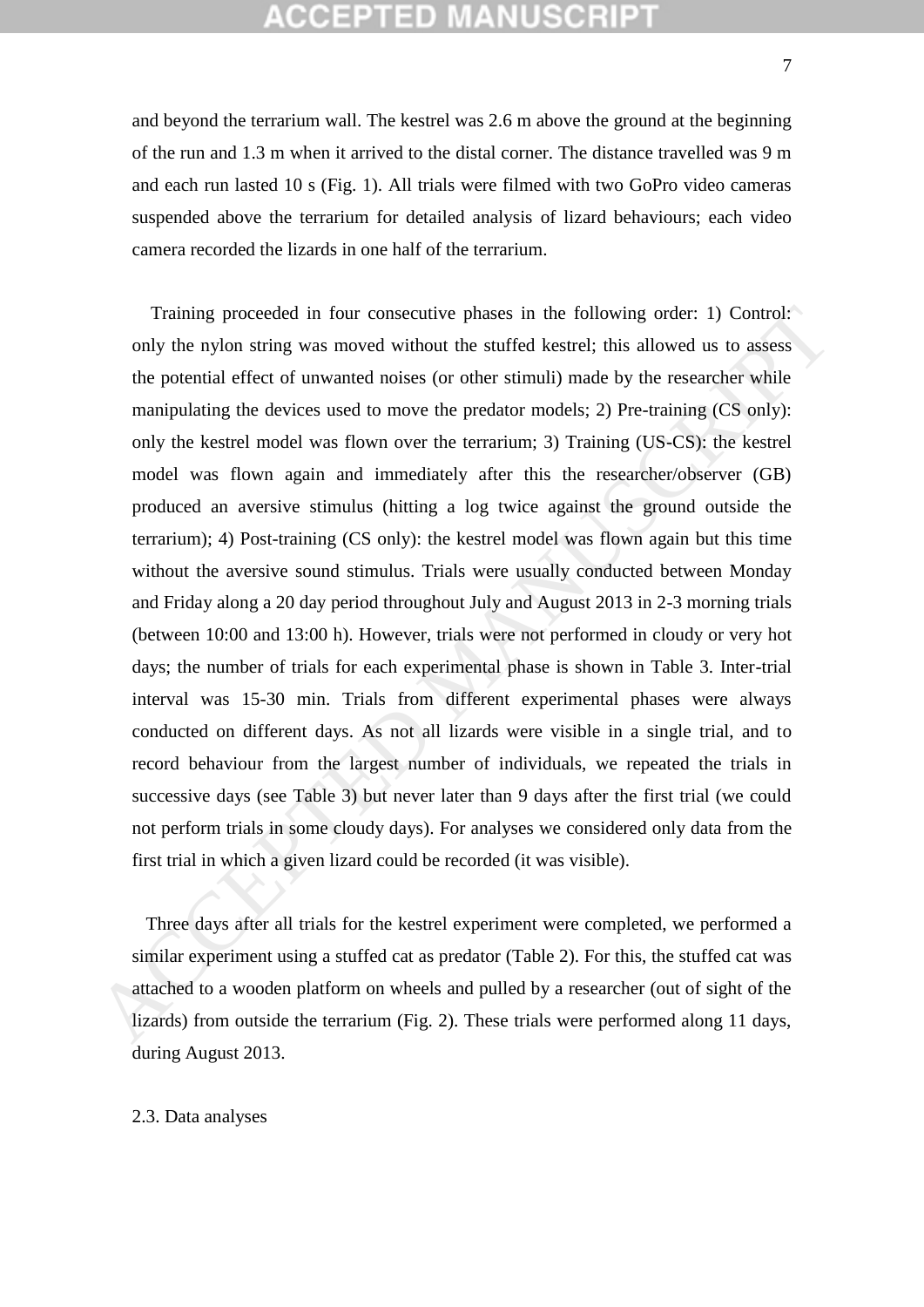## **CCEPTED MANUSCR**

and beyond the terrarium wall. The kestrel was 2.6 m above the ground at the beginning of the run and 1.3 m when it arrived to the distal corner. The distance travelled was 9 m and each run lasted 10 s (Fig. 1). All trials were filmed with two GoPro video cameras suspended above the terrarium for detailed analysis of lizard behaviours; each video camera recorded the lizards in one half of the terrarium.

 Training proceeded in four consecutive phases in the following order: 1) Control: only the nylon string was moved without the stuffed kestrel; this allowed us to assess the potential effect of unwanted noises (or other stimuli) made by the researcher while manipulating the devices used to move the predator models; 2) Pre-training (CS only): only the kestrel model was flown over the terrarium; 3) Training (US-CS): the kestrel model was flown again and immediately after this the researcher/observer (GB) produced an aversive stimulus (hitting a log twice against the ground outside the terrarium); 4) Post-training (CS only): the kestrel model was flown again but this time without the aversive sound stimulus. Trials were usually conducted between Monday and Friday along a 20 day period throughout July and August 2013 in 2-3 morning trials (between 10:00 and 13:00 h). However, trials were not performed in cloudy or very hot days; the number of trials for each experimental phase is shown in Table 3. Inter-trial interval was 15-30 min. Trials from different experimental phases were always conducted on different days. As not all lizards were visible in a single trial, and to record behaviour from the largest number of individuals, we repeated the trials in successive days (see Table 3) but never later than 9 days after the first trial (we could not perform trials in some cloudy days). For analyses we considered only data from the first trial in which a given lizard could be recorded (it was visible). Training proceeded in four consecutive phases in the following order: 1) Control:<br>
only the nylon string was moved without the stuffed kestre!; this allowed us to assess<br>
the potential effect of unwanted noises (or other

 Three days after all trials for the kestrel experiment were completed, we performed a similar experiment using a stuffed cat as predator (Table 2). For this, the stuffed cat was attached to a wooden platform on wheels and pulled by a researcher (out of sight of the lizards) from outside the terrarium (Fig. 2). These trials were performed along 11 days, during August 2013.

### 2.3. Data analyses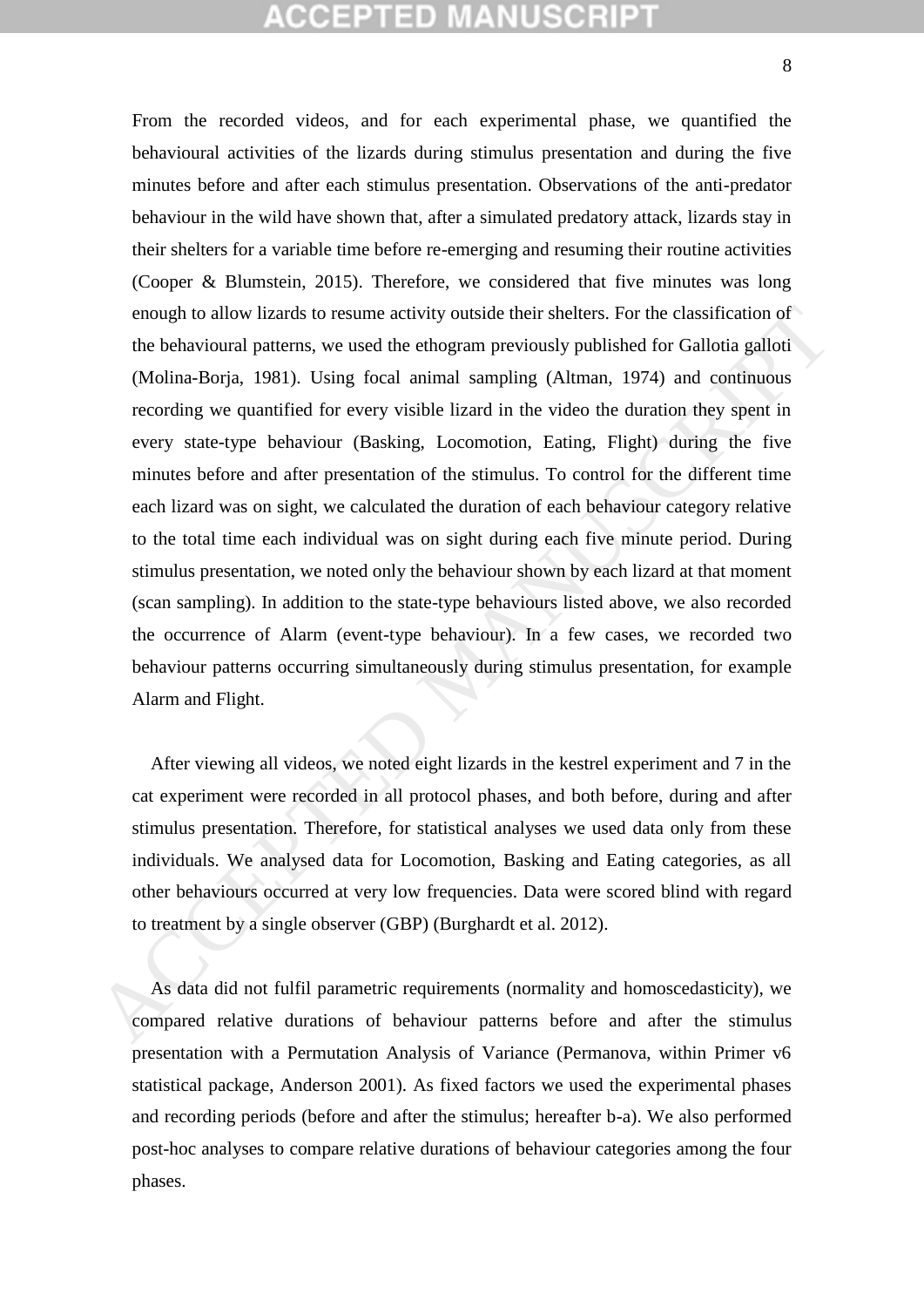# CCEPTED MAN

From the recorded videos, and for each experimental phase, we quantified the behavioural activities of the lizards during stimulus presentation and during the five minutes before and after each stimulus presentation. Observations of the anti-predator behaviour in the wild have shown that, after a simulated predatory attack, lizards stay in their shelters for a variable time before re-emerging and resuming their routine activities (Cooper & Blumstein, 2015). Therefore, we considered that five minutes was long enough to allow lizards to resume activity outside their shelters. For the classification of the behavioural patterns, we used the ethogram previously published for Gallotia galloti (Molina-Borja, 1981). Using focal animal sampling (Altman, 1974) and continuous recording we quantified for every visible lizard in the video the duration they spent in every state-type behaviour (Basking, Locomotion, Eating, Flight) during the five minutes before and after presentation of the stimulus. To control for the different time each lizard was on sight, we calculated the duration of each behaviour category relative to the total time each individual was on sight during each five minute period. During stimulus presentation, we noted only the behaviour shown by each lizard at that moment (scan sampling). In addition to the state-type behaviours listed above, we also recorded the occurrence of Alarm (event-type behaviour). In a few cases, we recorded two behaviour patterns occurring simultaneously during stimulus presentation, for example Alarm and Flight. enough to allow lizards to resume activity outside their shellers. For the classification of<br>the behavioural patterns, we used the ethogram previously published for Gallotia gallot<br>(Molina-Borja, 1981). Using foceal animal

 After viewing all videos, we noted eight lizards in the kestrel experiment and 7 in the cat experiment were recorded in all protocol phases, and both before, during and after stimulus presentation. Therefore, for statistical analyses we used data only from these individuals. We analysed data for Locomotion, Basking and Eating categories, as all other behaviours occurred at very low frequencies. Data were scored blind with regard to treatment by a single observer (GBP) (Burghardt et al. 2012).

 As data did not fulfil parametric requirements (normality and homoscedasticity), we compared relative durations of behaviour patterns before and after the stimulus presentation with a Permutation Analysis of Variance (Permanova, within Primer v6 statistical package, Anderson 2001). As fixed factors we used the experimental phases and recording periods (before and after the stimulus; hereafter b-a). We also performed post-hoc analyses to compare relative durations of behaviour categories among the four phases.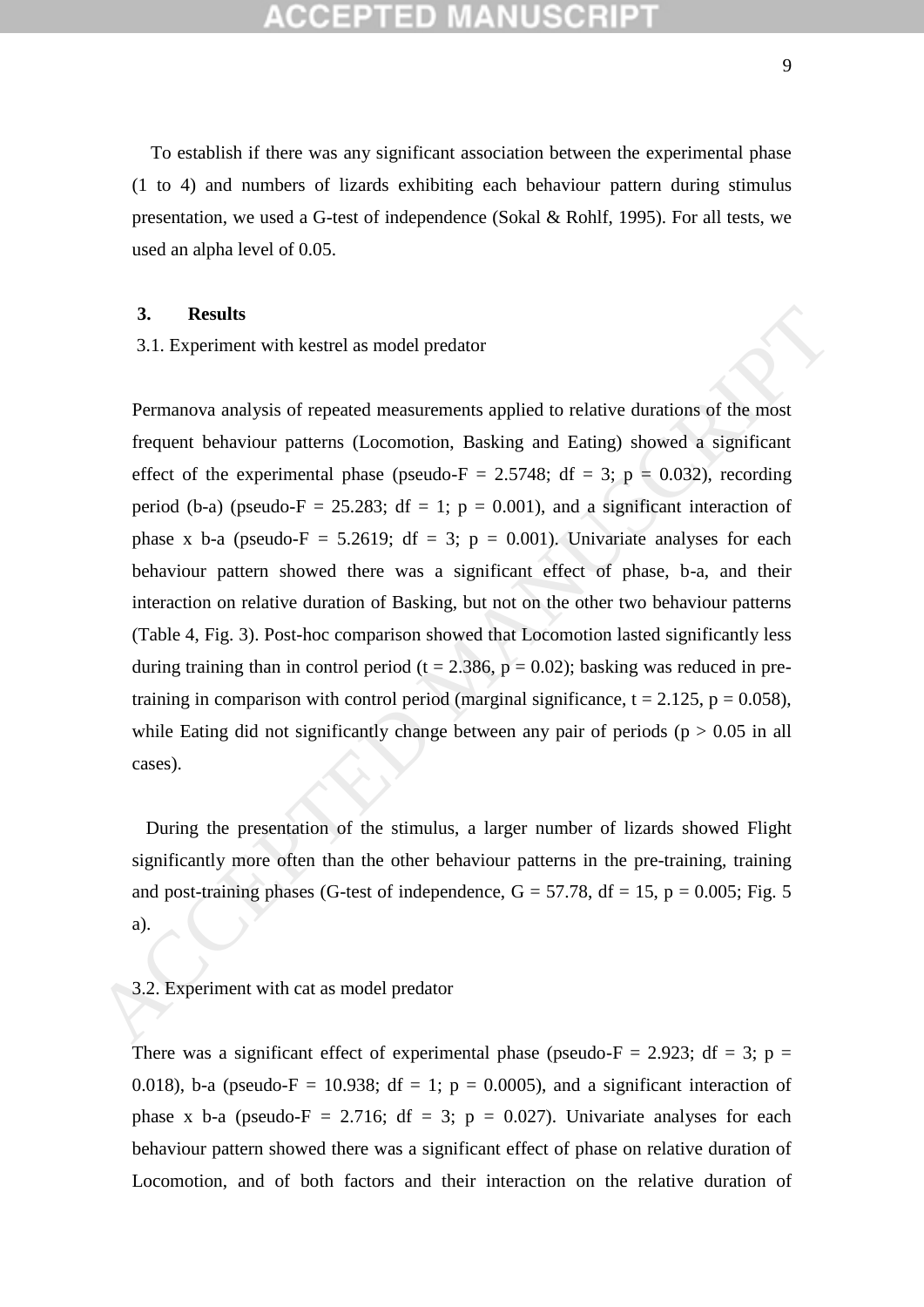To establish if there was any significant association between the experimental phase (1 to 4) and numbers of lizards exhibiting each behaviour pattern during stimulus presentation, we used a G-test of independence (Sokal & Rohlf, 1995). For all tests, we used an alpha level of 0.05.

## **3. Results**

3.1. Experiment with kestrel as model predator

Permanova analysis of repeated measurements applied to relative durations of the most frequent behaviour patterns (Locomotion, Basking and Eating) showed a significant effect of the experimental phase (pseudo-F = 2.5748; df = 3; p = 0.032), recording period (b-a) (pseudo-F = 25.283; df = 1; p = 0.001), and a significant interaction of phase x b-a (pseudo-F = 5.2619; df = 3; p = 0.001). Univariate analyses for each behaviour pattern showed there was a significant effect of phase, b-a, and their interaction on relative duration of Basking, but not on the other two behaviour patterns (Table 4, Fig. 3). Post-hoc comparison showed that Locomotion lasted significantly less during training than in control period ( $t = 2.386$ ,  $p = 0.02$ ); basking was reduced in pretraining in comparison with control period (marginal significance,  $t = 2.125$ ,  $p = 0.058$ ), while Eating did not significantly change between any pair of periods ( $p > 0.05$  in all cases). 3. **Results**<br>3.1. Experiment with kestrel as model predator<br>
Permanova analysis of repeated measurements applied to relative durations of the most<br>
frequent behaviour patterns (Locomotion, Basking and Eating) showed a sig

 During the presentation of the stimulus, a larger number of lizards showed Flight significantly more often than the other behaviour patterns in the pre-training, training and post-training phases (G-test of independence,  $G = 57.78$ ,  $df = 15$ ,  $p = 0.005$ ; Fig. 5 a).

### 3.2. Experiment with cat as model predator

There was a significant effect of experimental phase (pseudo- $F = 2.923$ ; df = 3; p = 0.018), b-a (pseudo-F = 10.938; df = 1; p = 0.0005), and a significant interaction of phase x b-a (pseudo-F = 2.716; df = 3; p = 0.027). Univariate analyses for each behaviour pattern showed there was a significant effect of phase on relative duration of Locomotion, and of both factors and their interaction on the relative duration of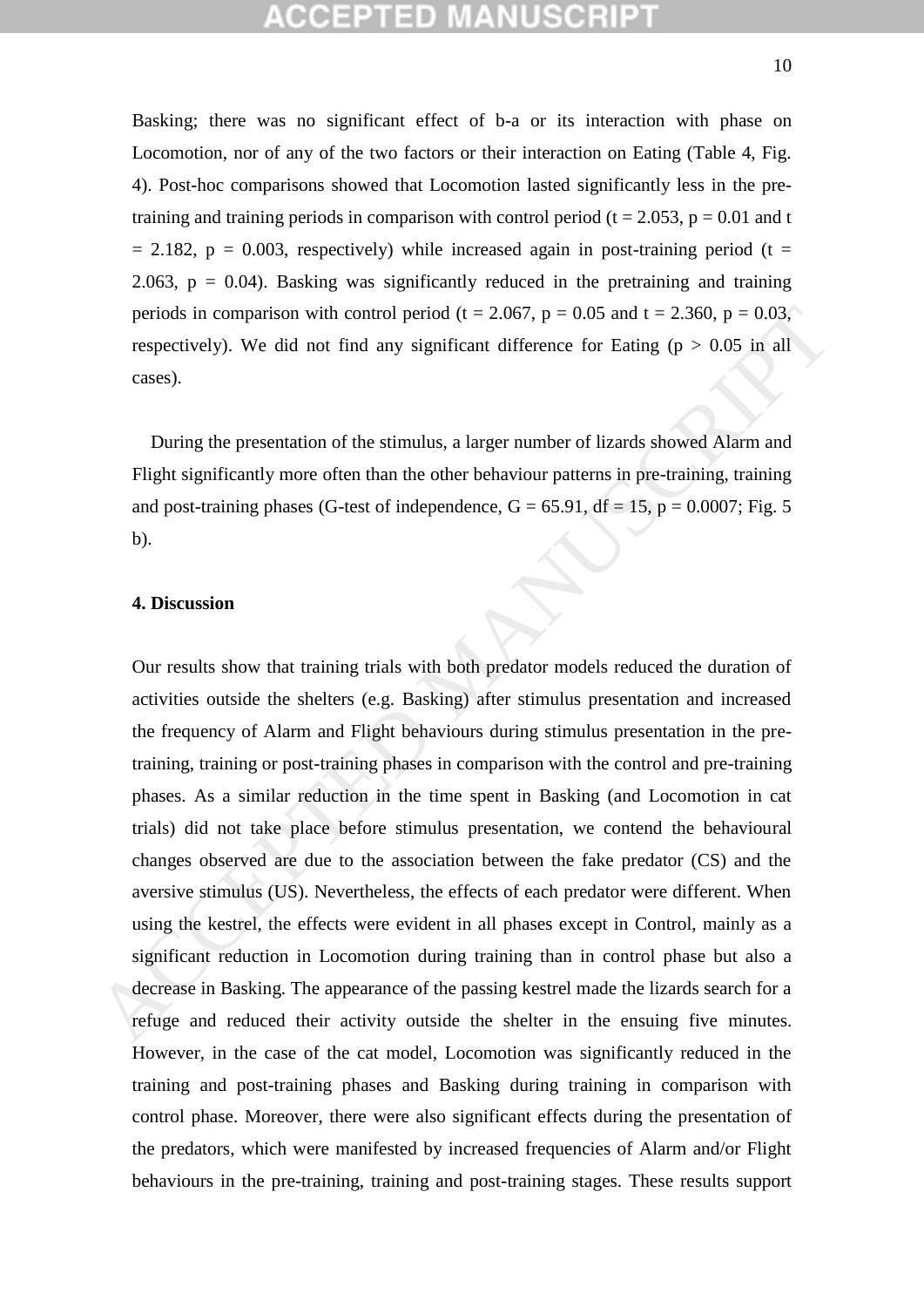Basking; there was no significant effect of b-a or its interaction with phase on Locomotion, nor of any of the two factors or their interaction on Eating (Table 4, Fig. 4). Post-hoc comparisons showed that Locomotion lasted significantly less in the pretraining and training periods in comparison with control period ( $t = 2.053$ ,  $p = 0.01$  and t  $= 2.182$ ,  $p = 0.003$ , respectively) while increased again in post-training period (t = 2.063,  $p = 0.04$ ). Basking was significantly reduced in the pretraining and training periods in comparison with control period (t = 2.067, p = 0.05 and t = 2.360, p = 0.03, respectively). We did not find any significant difference for Eating ( $p > 0.05$  in all cases).

 During the presentation of the stimulus, a larger number of lizards showed Alarm and Flight significantly more often than the other behaviour patterns in pre-training, training and post-training phases (G-test of independence,  $G = 65.91$ ,  $df = 15$ ,  $p = 0.0007$ ; Fig. 5 b).

## **4. Discussion**

Our results show that training trials with both predator models reduced the duration of activities outside the shelters (e.g. Basking) after stimulus presentation and increased the frequency of Alarm and Flight behaviours during stimulus presentation in the pretraining, training or post-training phases in comparison with the control and pre-training phases. As a similar reduction in the time spent in Basking (and Locomotion in cat trials) did not take place before stimulus presentation, we contend the behavioural changes observed are due to the association between the fake predator (CS) and the aversive stimulus (US). Nevertheless, the effects of each predator were different. When using the kestrel, the effects were evident in all phases except in Control, mainly as a significant reduction in Locomotion during training than in control phase but also a decrease in Basking. The appearance of the passing kestrel made the lizards search for a refuge and reduced their activity outside the shelter in the ensuing five minutes. However, in the case of the cat model, Locomotion was significantly reduced in the training and post-training phases and Basking during training in comparison with control phase. Moreover, there were also significant effects during the presentation of the predators, which were manifested by increased frequencies of Alarm and/or Flight behaviours in the pre-training, training and post-training stages. These results support periods in comparison with control period  $(1 = 2.067, p = 0.05$  and  $t = 2.360, p = 0.03$ ,<br>respectively). We did not find any significant difference for Eating  $(p > 0.05$  in all<br>cases).<br>During the presentation of the stimulus,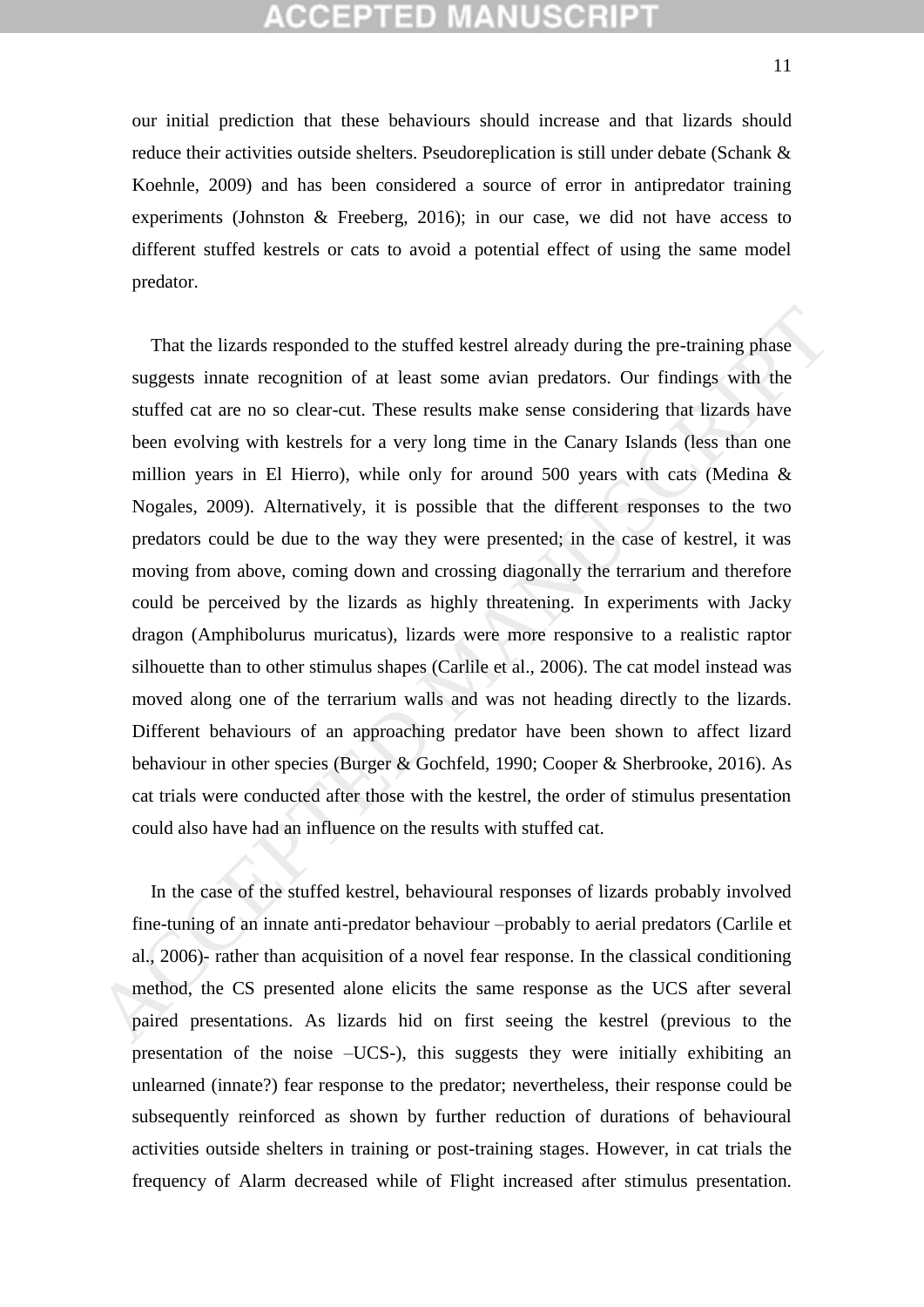# :CEPTED M

our initial prediction that these behaviours should increase and that lizards should reduce their activities outside shelters. Pseudoreplication is still under debate (Schank & Koehnle, 2009) and has been considered a source of error in antipredator training experiments (Johnston & Freeberg, 2016); in our case, we did not have access to different stuffed kestrels or cats to avoid a potential effect of using the same model predator.

 That the lizards responded to the stuffed kestrel already during the pre-training phase suggests innate recognition of at least some avian predators. Our findings with the stuffed cat are no so clear-cut. These results make sense considering that lizards have been evolving with kestrels for a very long time in the Canary Islands (less than one million years in El Hierro), while only for around 500 years with cats (Medina & Nogales, 2009). Alternatively, it is possible that the different responses to the two predators could be due to the way they were presented; in the case of kestrel, it was moving from above, coming down and crossing diagonally the terrarium and therefore could be perceived by the lizards as highly threatening. In experiments with Jacky dragon (Amphibolurus muricatus), lizards were more responsive to a realistic raptor silhouette than to other stimulus shapes (Carlile et al., 2006). The cat model instead was moved along one of the terrarium walls and was not heading directly to the lizards. Different behaviours of an approaching predator have been shown to affect lizard behaviour in other species (Burger & Gochfeld, 1990; Cooper & Sherbrooke, 2016). As cat trials were conducted after those with the kestrel, the order of stimulus presentation could also have had an influence on the results with stuffed cat. That the lizards responded to the stuffed kestrel already during the pre-training phase<br>suggests innate recognition of at least some avian predators. Our findings with the<br>suffed cat are no so clear-cut. These results mak

 In the case of the stuffed kestrel, behavioural responses of lizards probably involved fine-tuning of an innate anti-predator behaviour –probably to aerial predators (Carlile et al., 2006)- rather than acquisition of a novel fear response. In the classical conditioning method, the CS presented alone elicits the same response as the UCS after several paired presentations. As lizards hid on first seeing the kestrel (previous to the presentation of the noise –UCS-), this suggests they were initially exhibiting an unlearned (innate?) fear response to the predator; nevertheless, their response could be subsequently reinforced as shown by further reduction of durations of behavioural activities outside shelters in training or post-training stages. However, in cat trials the frequency of Alarm decreased while of Flight increased after stimulus presentation.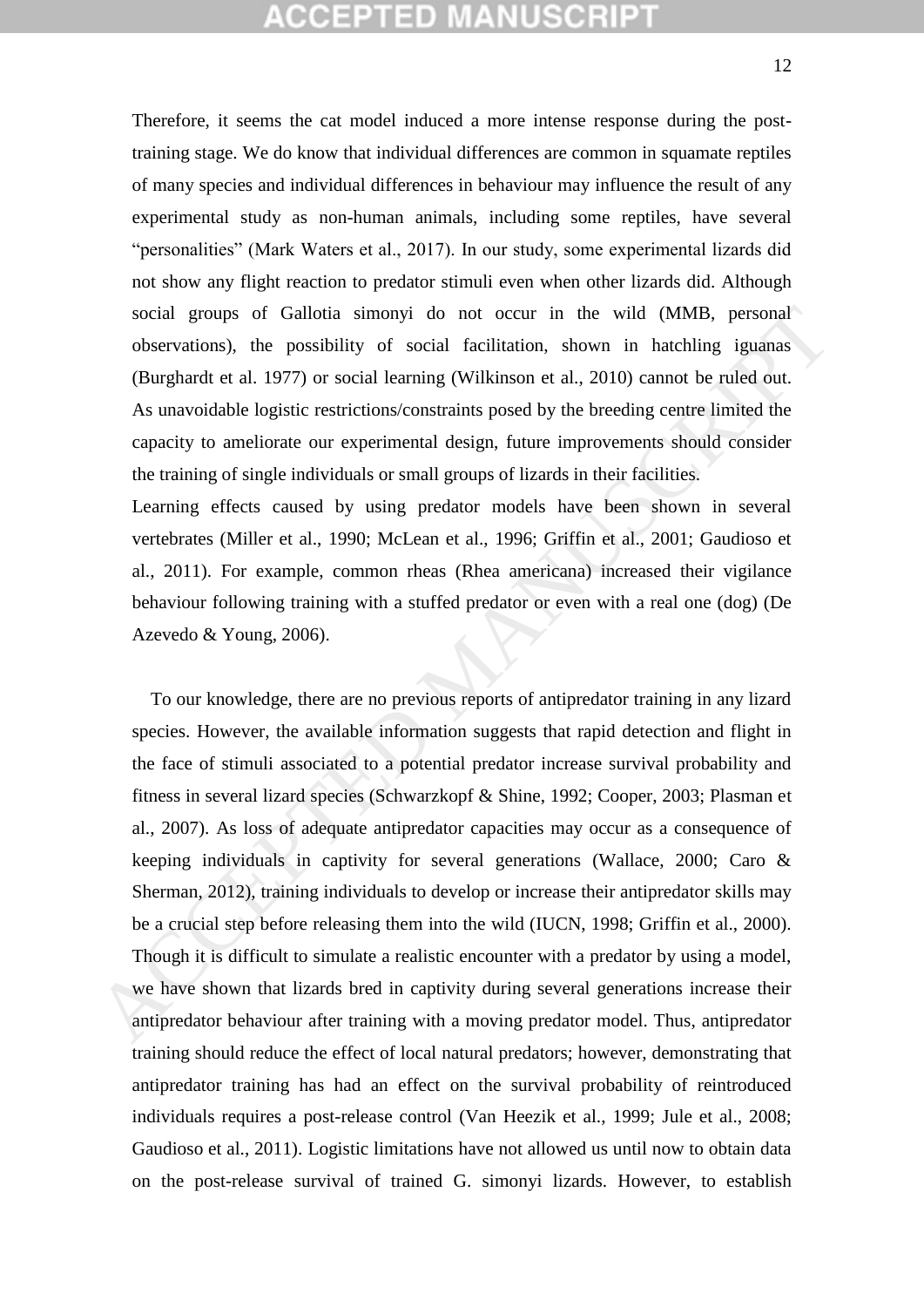# **CEPTED MANUSCR**

Therefore, it seems the cat model induced a more intense response during the posttraining stage. We do know that individual differences are common in squamate reptiles of many species and individual differences in behaviour may influence the result of any experimental study as non-human animals, including some reptiles, have several "personalities" (Mark Waters et al., 2017). In our study, some experimental lizards did not show any flight reaction to predator stimuli even when other lizards did. Although social groups of Gallotia simonyi do not occur in the wild (MMB, personal observations), the possibility of social facilitation, shown in hatchling iguanas (Burghardt et al. 1977) or social learning (Wilkinson et al., 2010) cannot be ruled out. As unavoidable logistic restrictions/constraints posed by the breeding centre limited the capacity to ameliorate our experimental design, future improvements should consider the training of single individuals or small groups of lizards in their facilities.

Learning effects caused by using predator models have been shown in several vertebrates (Miller et al., 1990; McLean et al., 1996; Griffin et al., 2001; Gaudioso et al., 2011). For example, common rheas (Rhea americana) increased their vigilance behaviour following training with a stuffed predator or even with a real one (dog) (De Azevedo & Young, 2006).

 To our knowledge, there are no previous reports of antipredator training in any lizard species. However, the available information suggests that rapid detection and flight in the face of stimuli associated to a potential predator increase survival probability and fitness in several lizard species (Schwarzkopf & Shine, 1992; Cooper, 2003; Plasman et al., 2007). As loss of adequate antipredator capacities may occur as a consequence of keeping individuals in captivity for several generations (Wallace, 2000; Caro & Sherman, 2012), training individuals to develop or increase their antipredator skills may be a crucial step before releasing them into the wild (IUCN, 1998; Griffin et al., 2000). Though it is difficult to simulate a realistic encounter with a predator by using a model, we have shown that lizards bred in captivity during several generations increase their antipredator behaviour after training with a moving predator model. Thus, antipredator training should reduce the effect of local natural predators; however, demonstrating that antipredator training has had an effect on the survival probability of reintroduced individuals requires a post-release control (Van Heezik et al., 1999; Jule et al., 2008; Gaudioso et al., 2011). Logistic limitations have not allowed us until now to obtain data on the post-release survival of trained G. simonyi lizards. However, to establish social groups of Gallotia simonyi do not occur in the wild (MMB, personal<br>observations), the possibility of social facilitation, shown in hacthling iguanas<br>(Burghardt et al. 1977) or social learning (Wikinson et al., 2010)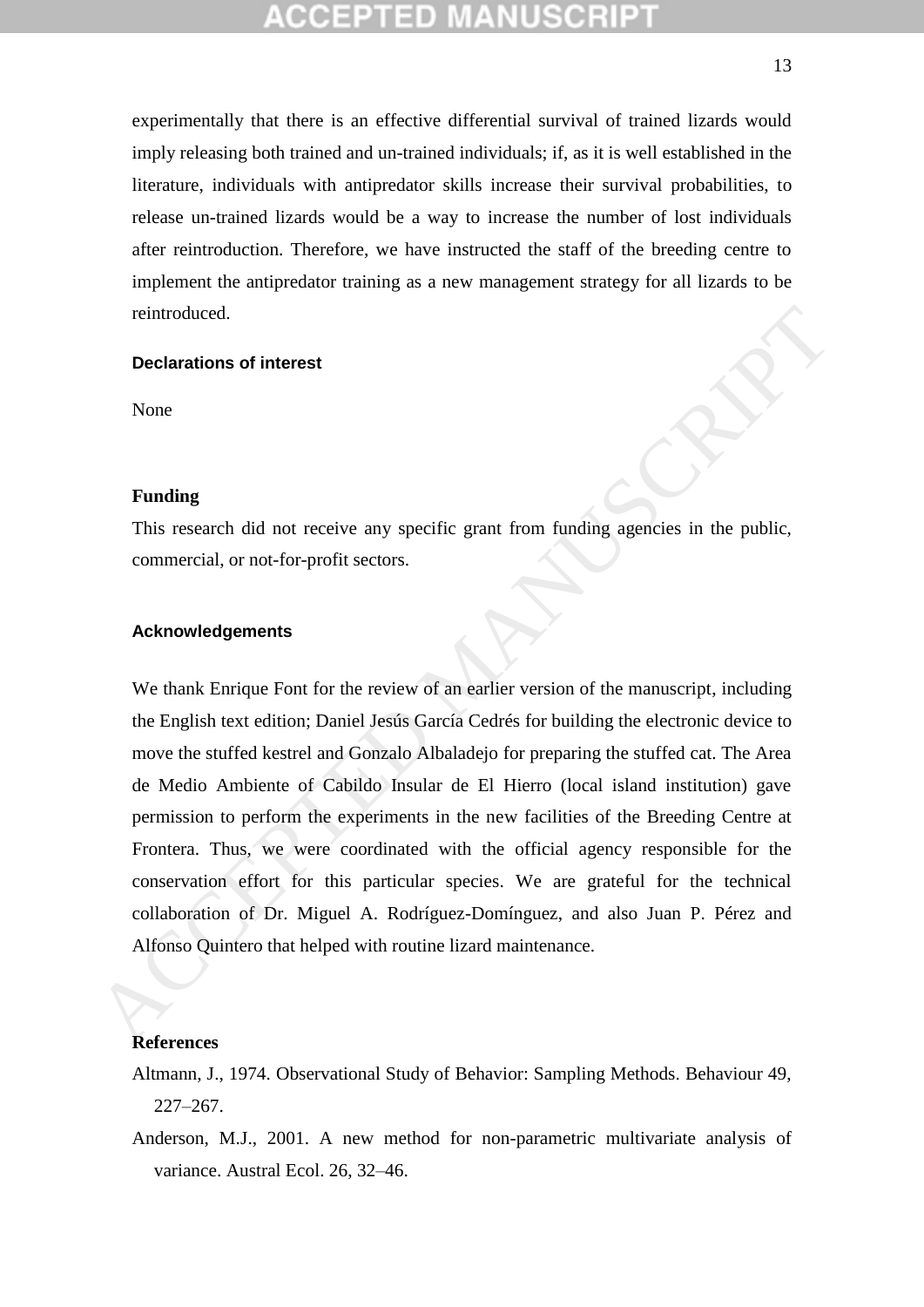experimentally that there is an effective differential survival of trained lizards would imply releasing both trained and un-trained individuals; if, as it is well established in the literature, individuals with antipredator skills increase their survival probabilities, to release un-trained lizards would be a way to increase the number of lost individuals after reintroduction. Therefore, we have instructed the staff of the breeding centre to implement the antipredator training as a new management strategy for all lizards to be reintroduced.

## **Declarations of interest**

None

### **Funding**

This research did not receive any specific grant from funding agencies in the public, commercial, or not-for-profit sectors.

### **Acknowledgements**

We thank Enrique Font for the review of an earlier version of the manuscript, including the English text edition; Daniel Jesús García Cedrés for building the electronic device to move the stuffed kestrel and Gonzalo Albaladejo for preparing the stuffed cat. The Area de Medio Ambiente of Cabildo Insular de El Hierro (local island institution) gave permission to perform the experiments in the new facilities of the Breeding Centre at Frontera. Thus, we were coordinated with the official agency responsible for the conservation effort for this particular species. We are grateful for the technical collaboration of Dr. Miguel A. Rodríguez-Domínguez, and also Juan P. Pérez and Alfonso Quintero that helped with routine lizard maintenance. reintroduced.<br> **Declarations of interest**<br>
None<br> **Tunding**<br>
This research did not receive any specific grant from funding agencies in the public,<br>
commercial, or not-for-profit sectors.<br> **Acknowledgements**<br>
We thank Enriqu

### **References**

- Altmann, J., 1974. Observational Study of Behavior: Sampling Methods. Behaviour 49, 227–267.
- Anderson, M.J., 2001. A new method for non-parametric multivariate analysis of variance. Austral Ecol. 26, 32–46.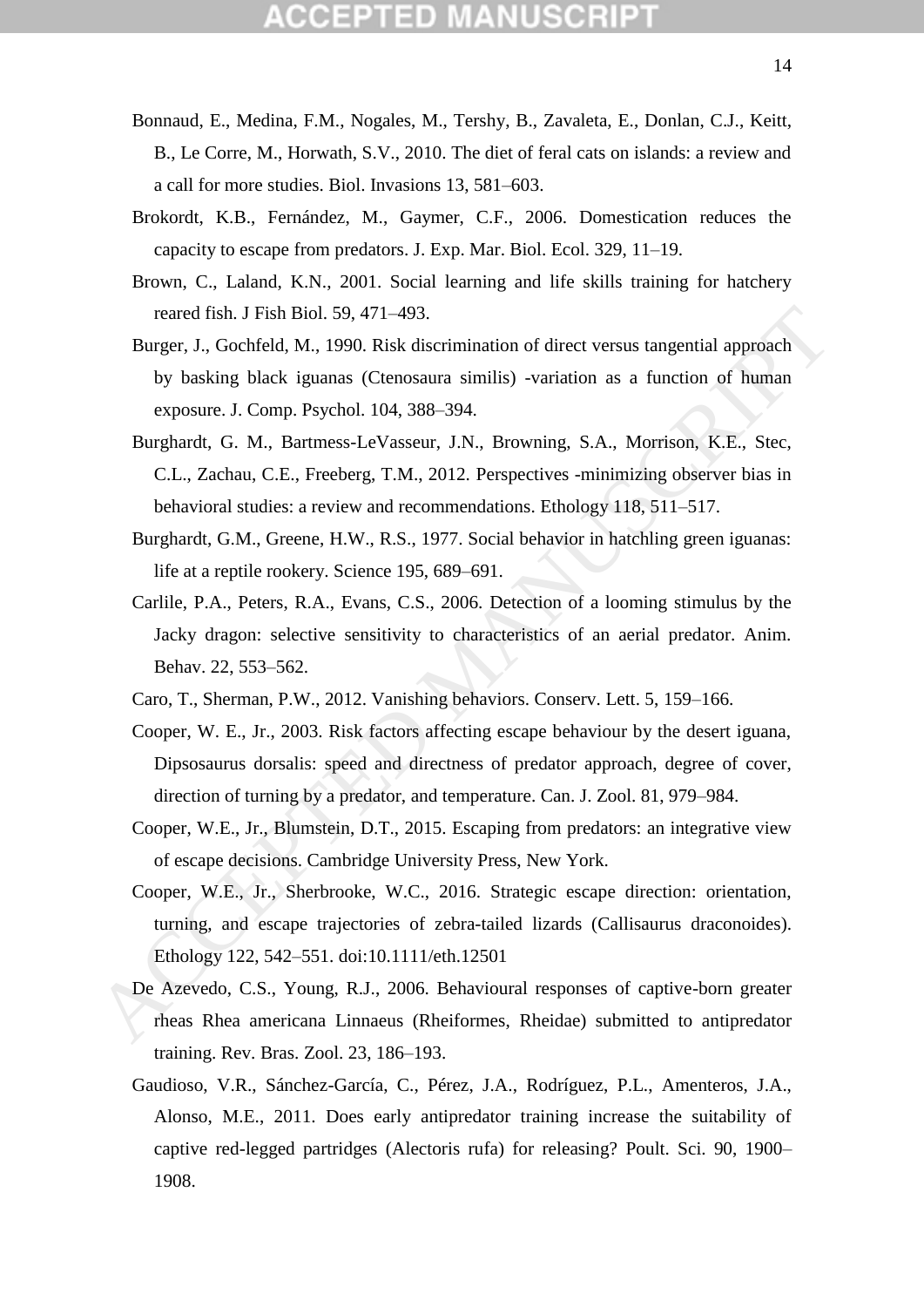- Bonnaud, E., Medina, F.M., Nogales, M., Tershy, B., Zavaleta, E., Donlan, C.J., Keitt, B., Le Corre, M., Horwath, S.V., 2010. The diet of feral cats on islands: a review and a call for more studies. Biol. Invasions 13, 581–603.
- Brokordt, K.B., Fernández, M., Gaymer, C.F., 2006. Domestication reduces the capacity to escape from predators. J. Exp. Mar. Biol. Ecol. 329, 11–19.
- Brown, C., Laland, K.N., 2001. Social learning and life skills training for hatchery reared fish. J Fish Biol. 59, 471–493.
- Burger, J., Gochfeld, M., 1990. Risk discrimination of direct versus tangential approach by basking black iguanas (Ctenosaura similis) -variation as a function of human exposure. J. Comp. Psychol. 104, 388–394.
- Burghardt, G. M., Bartmess-LeVasseur, J.N., Browning, S.A., Morrison, K.E., Stec, C.L., Zachau, C.E., Freeberg, T.M., 2012. Perspectives -minimizing observer bias in behavioral studies: a review and recommendations. Ethology 118, 511–517.
- Burghardt, G.M., Greene, H.W., R.S., 1977. Social behavior in hatchling green iguanas: life at a reptile rookery. Science 195, 689–691.
- Carlile, P.A., Peters, R.A., Evans, C.S., 2006. Detection of a looming stimulus by the Jacky dragon: selective sensitivity to characteristics of an aerial predator. Anim. Behav. 22, 553–562. reared fish. J Fish Biol. 59, 471–493.<br>
Burge, J., Gochfeld, M., 1990. Risk discrimination of direct versus tangential approach<br>
hy basking black iguanas (Chemosara similis) -variation as a function of human<br>
exposure. J.
	- Caro, T., Sherman, P.W., 2012. Vanishing behaviors. Conserv. Lett. 5, 159–166.
	- Cooper, W. E., Jr., 2003. Risk factors affecting escape behaviour by the desert iguana, Dipsosaurus dorsalis: speed and directness of predator approach, degree of cover, direction of turning by a predator, and temperature. Can. J. Zool. 81, 979–984.
	- Cooper, W.E., Jr., Blumstein, D.T., 2015. Escaping from predators: an integrative view of escape decisions. Cambridge University Press, New York.
	- Cooper, W.E., Jr., Sherbrooke, W.C., 2016. Strategic escape direction: orientation, turning, and escape trajectories of zebra-tailed lizards (Callisaurus draconoides). Ethology 122, 542–551. doi:10.1111/eth.12501
	- De Azevedo, C.S., Young, R.J., 2006. Behavioural responses of captive-born greater rheas Rhea americana Linnaeus (Rheiformes, Rheidae) submitted to antipredator training. Rev. Bras. Zool. 23, 186–193.
	- Gaudioso, V.R., Sánchez-García, C., Pérez, J.A., Rodríguez, P.L., Amenteros, J.A., Alonso, M.E., 2011. Does early antipredator training increase the suitability of captive red-legged partridges (Alectoris rufa) for releasing? Poult. Sci. 90, 1900– 1908.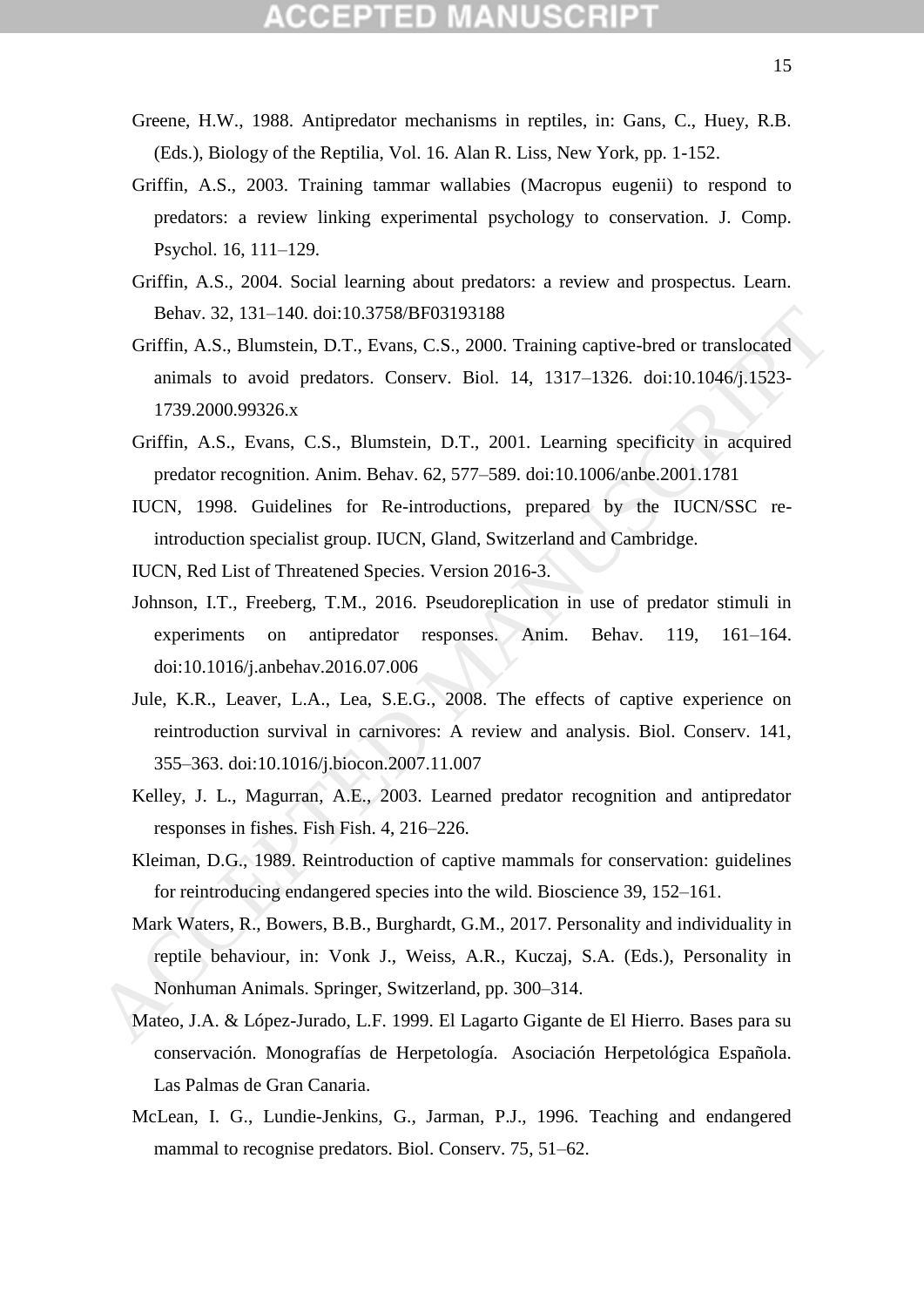- Greene, H.W., 1988. Antipredator mechanisms in reptiles, in: Gans, C., Huey, R.B. (Eds.), Biology of the Reptilia, Vol. 16. Alan R. Liss, New York, pp. 1-152.
- Griffin, A.S., 2003. Training tammar wallabies (Macropus eugenii) to respond to predators: a review linking experimental psychology to conservation. J. Comp. Psychol. 16, 111–129.
- Griffin, A.S., 2004. Social learning about predators: a review and prospectus. Learn. Behav. 32, 131–140. doi:10.3758/BF03193188
- Griffin, A.S., Blumstein, D.T., Evans, C.S., 2000. Training captive-bred or translocated animals to avoid predators. Conserv. Biol. 14, 1317–1326. doi:10.1046/j.1523- 1739.2000.99326.x
- Griffin, A.S., Evans, C.S., Blumstein, D.T., 2001. Learning specificity in acquired predator recognition. Anim. Behav. 62, 577–589. doi:10.1006/anbe.2001.1781
- IUCN, 1998. Guidelines for Re-introductions, prepared by the IUCN/SSC reintroduction specialist group. IUCN, Gland, Switzerland and Cambridge.
- IUCN, Red List of Threatened Species. Version 2016-3.
- Johnson, I.T., Freeberg, T.M., 2016. Pseudoreplication in use of predator stimuli in experiments on antipredator responses. Anim. Behav. 119, 161–164. doi:10.1016/j.anbehav.2016.07.006
- Jule, K.R., Leaver, L.A., Lea, S.E.G., 2008. The effects of captive experience on reintroduction survival in carnivores: A review and analysis. Biol. Conserv. 141, 355–363. doi:10.1016/j.biocon.2007.11.007
- Kelley, J. L., Magurran, A.E., 2003. Learned predator recognition and antipredator responses in fishes. Fish Fish. 4, 216–226.
- Kleiman, D.G., 1989. Reintroduction of captive mammals for conservation: guidelines for reintroducing endangered species into the wild. Bioscience 39, 152–161.
- Mark Waters, R., Bowers, B.B., Burghardt, G.M., 2017. Personality and individuality in reptile behaviour, in: Vonk J., Weiss, A.R., Kuczaj, S.A. (Eds.), Personality in Nonhuman Animals. Springer, Switzerland, pp. 300–314. Behav. 32, 131–140. doi:10.3758/BF03193188<br>
Griffin, A.S., Blunnstein, D.T., Evans, C.S., 2000. Training captive-bred or translocated<br>
arimits to avoid predators. Conserv. Biol. 14, 1317–1326. doi:10.1046j.1523-<br>
1739.2000
	- Mateo, J.A. & López-Jurado, L.F. 1999. El Lagarto Gigante de El Hierro. Bases para su conservación. Monografías de Herpetología. Asociación Herpetológica Española. Las Palmas de Gran Canaria.
	- McLean, I. G., Lundie-Jenkins, G., Jarman, P.J., 1996. Teaching and endangered mammal to recognise predators. Biol. Conserv. 75, 51–62.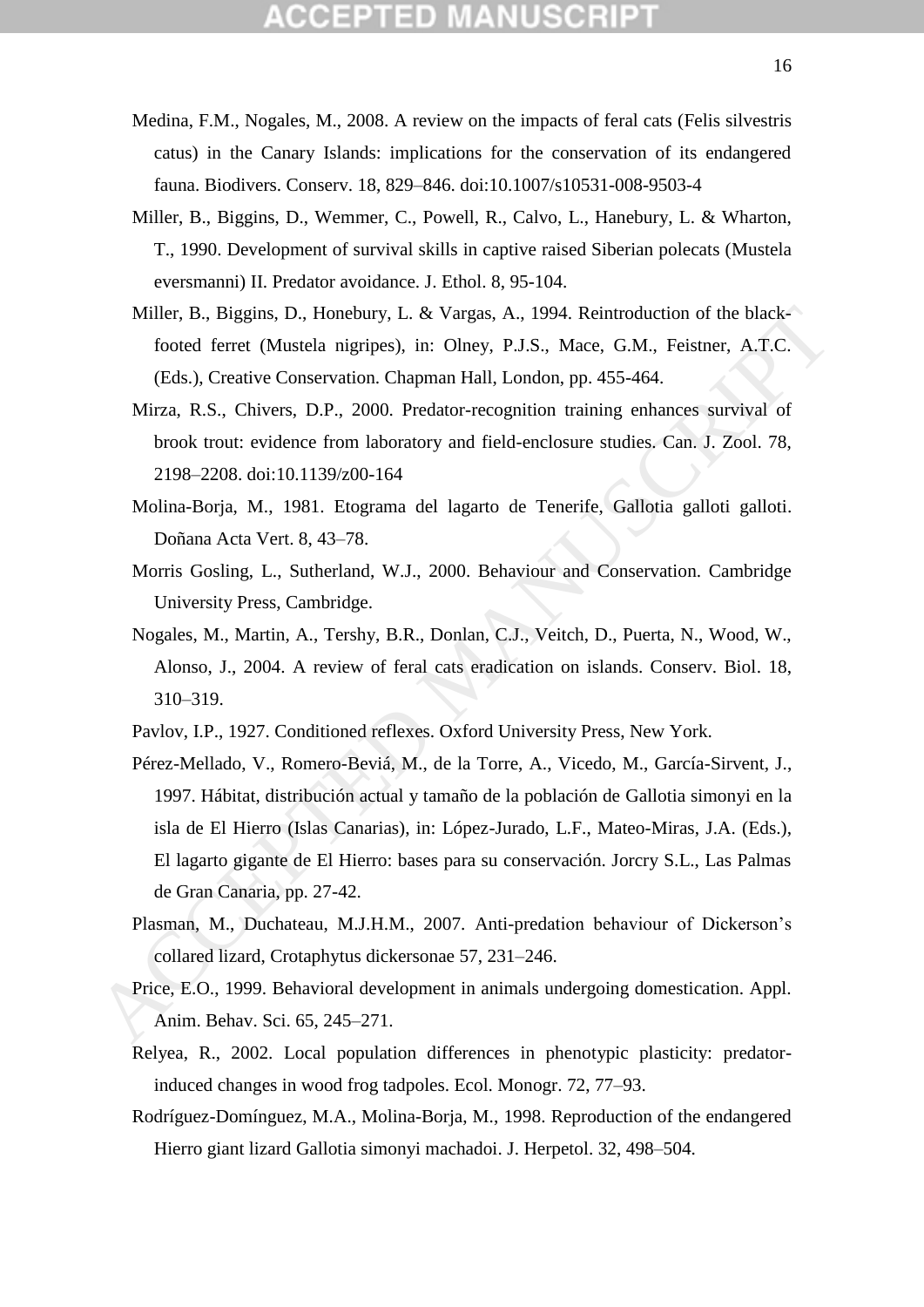- Medina, F.M., Nogales, M., 2008. A review on the impacts of feral cats (Felis silvestris catus) in the Canary Islands: implications for the conservation of its endangered fauna. Biodivers. Conserv. 18, 829–846. doi:10.1007/s10531-008-9503-4
- Miller, B., Biggins, D., Wemmer, C., Powell, R., Calvo, L., Hanebury, L. & Wharton, T., 1990. Development of survival skills in captive raised Siberian polecats (Mustela eversmanni) II. Predator avoidance. J. Ethol. 8, 95-104.
- Miller, B., Biggins, D., Honebury, L. & Vargas, A., 1994. Reintroduction of the blackfooted ferret (Mustela nigripes), in: Olney, P.J.S., Mace, G.M., Feistner, A.T.C. (Eds.), Creative Conservation. Chapman Hall, London, pp. 455-464.
- Mirza, R.S., Chivers, D.P., 2000. Predator-recognition training enhances survival of brook trout: evidence from laboratory and field-enclosure studies. Can. J. Zool. 78, 2198–2208. doi:10.1139/z00-164
- Molina-Borja, M., 1981. Etograma del lagarto de Tenerife, Gallotia galloti galloti. Doñana Acta Vert. 8, 43–78.
- Morris Gosling, L., Sutherland, W.J., 2000. Behaviour and Conservation. Cambridge University Press, Cambridge.
- Nogales, M., Martin, A., Tershy, B.R., Donlan, C.J., Veitch, D., Puerta, N., Wood, W., Alonso, J., 2004. A review of feral cats eradication on islands. Conserv. Biol. 18, 310–319.
- Pavlov, I.P., 1927. Conditioned reflexes. Oxford University Press, New York.
- Pérez-Mellado, V., Romero-Beviá, M., de la Torre, A., Vicedo, M., García-Sirvent, J., 1997. Hábitat, distribución actual y tamaño de la población de Gallotia simonyi en la isla de El Hierro (Islas Canarias), in: López-Jurado, L.F., Mateo-Miras, J.A. (Eds.), El lagarto gigante de El Hierro: bases para su conservación. Jorcry S.L., Las Palmas de Gran Canaria, pp. 27-42. Miller, B., Biggins, D., Honebury, L. & Vargas, A., 1994. Reintroduction of the black-<br>foted ferret (Mustela nigripes), in: Ohey, P.J.S., Mace, G.M., Feistner, A.T.C.<br>(Eds.), Creative Conservation. Chapman Hall, London, pp
	- Plasman, M., Duchateau, M.J.H.M., 2007. Anti-predation behaviour of Dickerson's collared lizard, Crotaphytus dickersonae 57, 231–246.
	- Price, E.O., 1999. Behavioral development in animals undergoing domestication. Appl. Anim. Behav. Sci. 65, 245–271.
	- Relyea, R., 2002. Local population differences in phenotypic plasticity: predatorinduced changes in wood frog tadpoles. Ecol. Monogr. 72, 77–93.
	- Rodríguez-Domínguez, M.A., Molina-Borja, M., 1998. Reproduction of the endangered Hierro giant lizard Gallotia simonyi machadoi. J. Herpetol. 32, 498–504.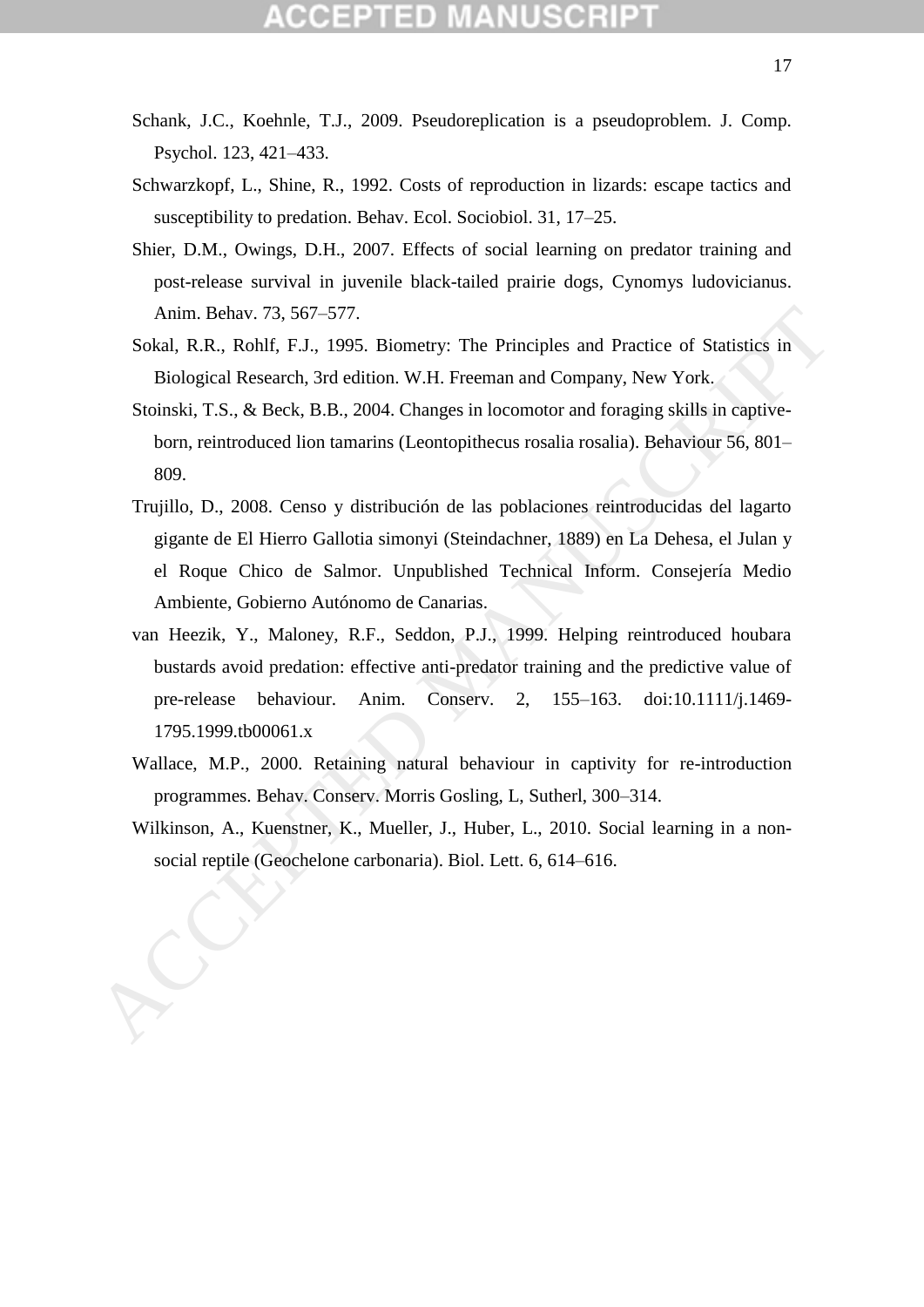- Schank, J.C., Koehnle, T.J., 2009. Pseudoreplication is a pseudoproblem. J. Comp. Psychol. 123, 421–433.
- Schwarzkopf, L., Shine, R., 1992. Costs of reproduction in lizards: escape tactics and susceptibility to predation. Behav. Ecol. Sociobiol. 31, 17–25.
- Shier, D.M., Owings, D.H., 2007. Effects of social learning on predator training and post-release survival in juvenile black-tailed prairie dogs, Cynomys ludovicianus. Anim. Behav. 73, 567–577.
- Sokal, R.R., Rohlf, F.J., 1995. Biometry: The Principles and Practice of Statistics in Biological Research, 3rd edition. W.H. Freeman and Company, New York.
- Stoinski, T.S., & Beck, B.B., 2004. Changes in locomotor and foraging skills in captiveborn, reintroduced lion tamarins (Leontopithecus rosalia rosalia). Behaviour 56, 801– 809.
- Trujillo, D., 2008. Censo y distribución de las poblaciones reintroducidas del lagarto gigante de El Hierro Gallotia simonyi (Steindachner, 1889) en La Dehesa, el Julan y el Roque Chico de Salmor. Unpublished Technical Inform. Consejería Medio Ambiente, Gobierno Autónomo de Canarias. Anim. Behav. 73, 567–577.<br>
Sock, R.R., Rohlf, F.J., 1995. Biometry: The Principles and Practice of Statistics in<br>
Biological Research, 3rd edition. W.H. Freeman and Company, New York.<br>
Stonski, T.S., & Beck, B.B., 2004. Ch
	- van Heezik, Y., Maloney, R.F., Seddon, P.J., 1999. Helping reintroduced houbara bustards avoid predation: effective anti-predator training and the predictive value of pre-release behaviour. Anim. Conserv. 2, 155–163. doi:10.1111/j.1469- 1795.1999.tb00061.x
	- Wallace, M.P., 2000. Retaining natural behaviour in captivity for re-introduction programmes. Behav. Conserv. Morris Gosling, L, Sutherl, 300–314.
	- Wilkinson, A., Kuenstner, K., Mueller, J., Huber, L., 2010. Social learning in a non-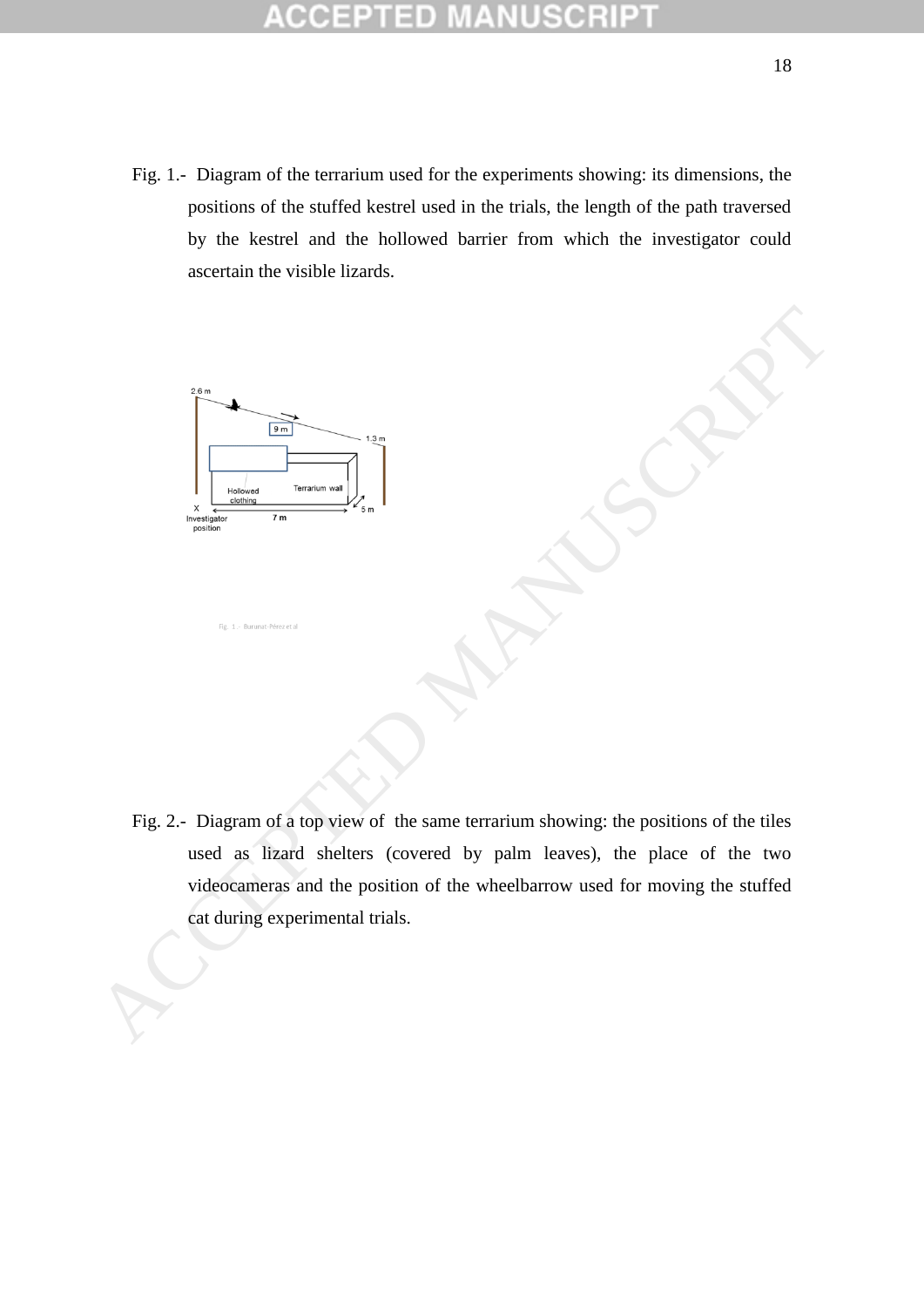Fig. 1.- Diagram of the terrarium used for the experiments showing: its dimensions, the positions of the stuffed kestrel used in the trials, the length of the path traversed by the kestrel and the hollowed barrier from which the investigator could ascertain the visible lizards.



Fig. 2.- Diagram of a top view of the same terrarium showing: the positions of the tiles used as lizard shelters (covered by palm leaves), the place of the two videocameras and the position of the wheelbarrow used for moving the stuffed Fig. 2.- Diagram of a top view of the same terrarium showing: the positions of the tiles<br>with the same of a top view of the same terrarium showing: the positions of the tiles<br>with a linear side selector of the viewelharro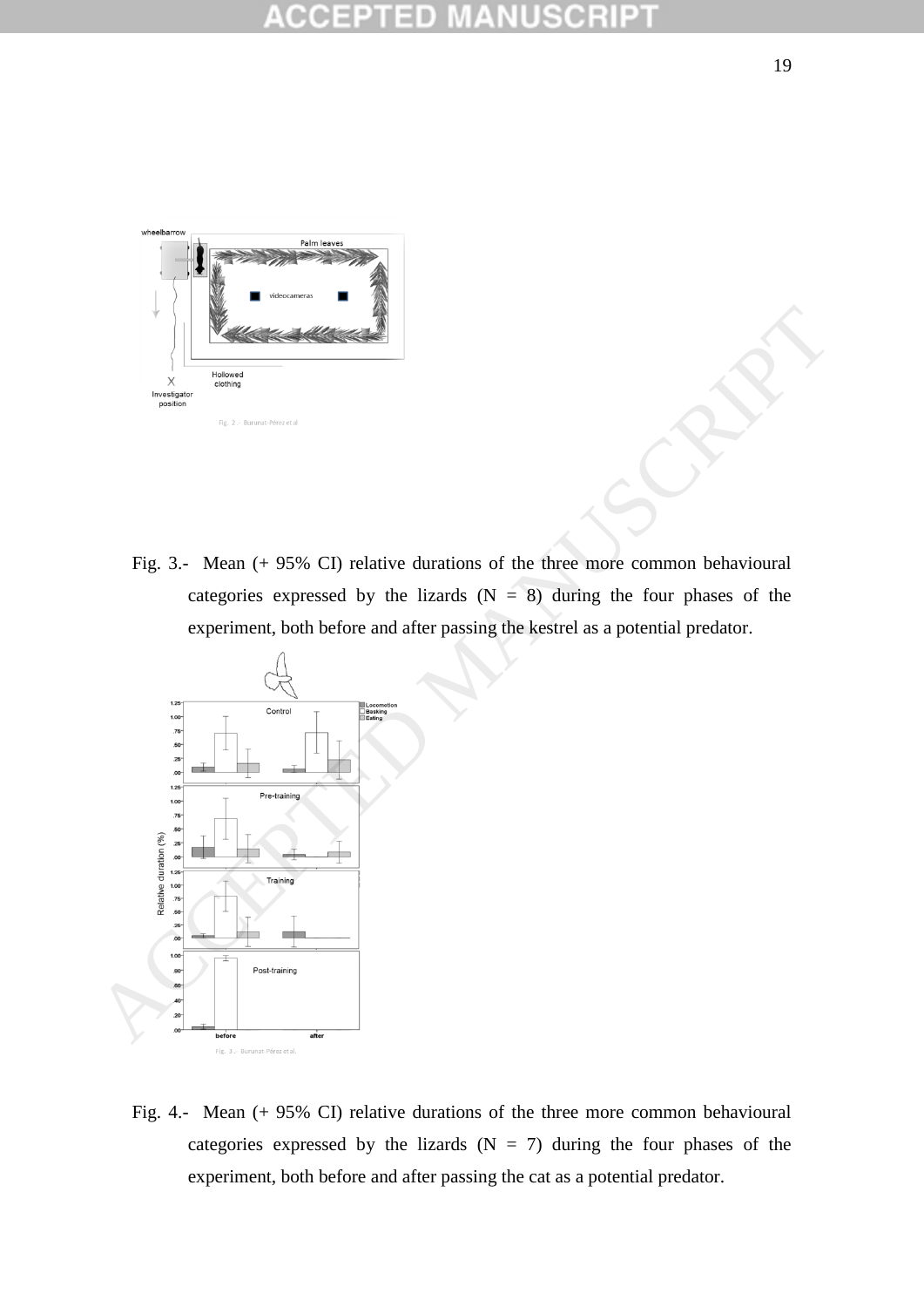

Fig. 3.- Mean (+ 95% CI) relative durations of the three more common behavioural categories expressed by the lizards  $(N = 8)$  during the four phases of the experiment, both before and after passing the kestrel as a potential predator.



Fig. 4.- Mean (+ 95% CI) relative durations of the three more common behavioural categories expressed by the lizards  $(N = 7)$  during the four phases of the experiment, both before and after passing the cat as a potential predator.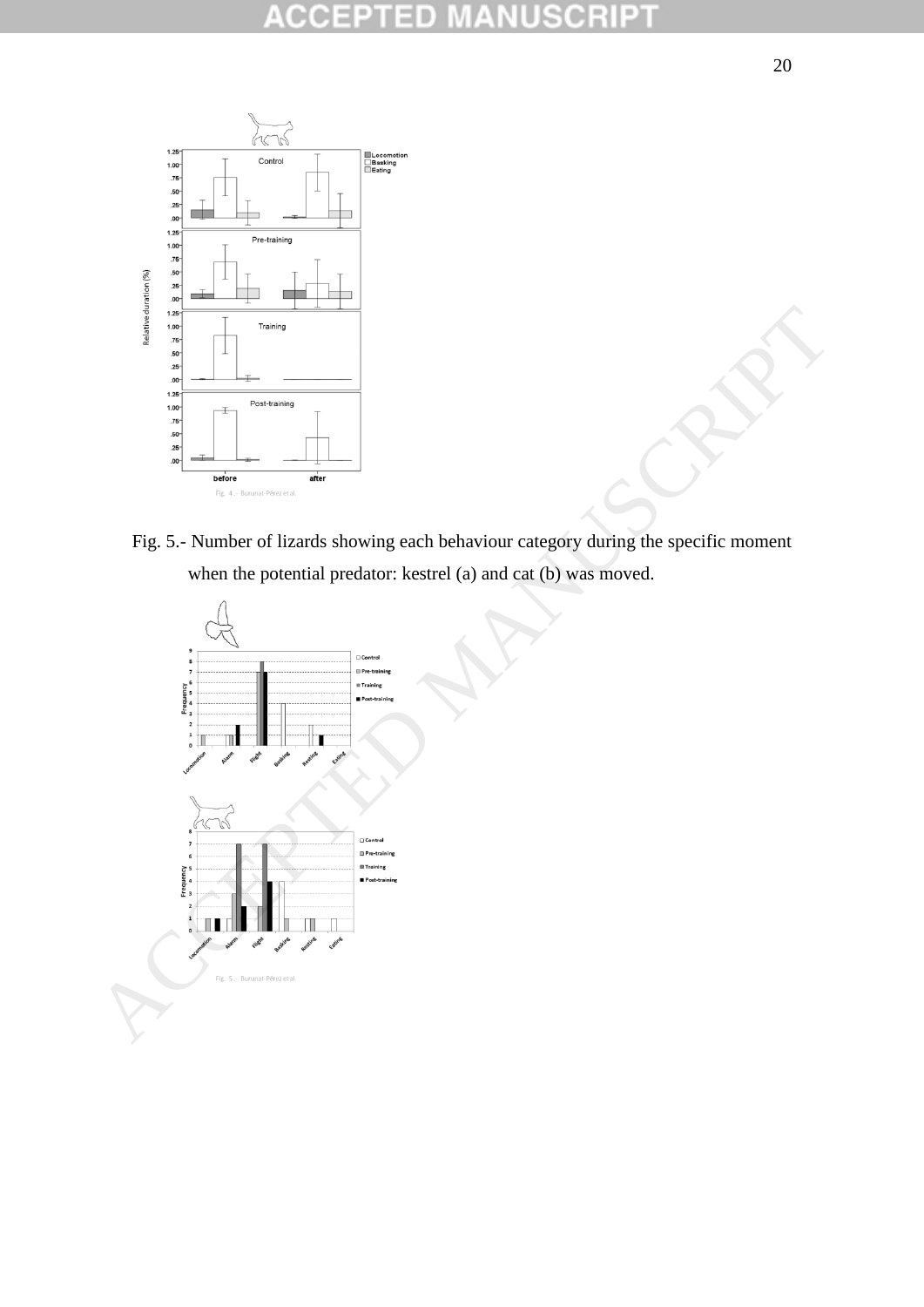### PT CC B  $\begin{array}{c} \hline \end{array}$ C  $\pm$ U



Fig. 5.- Number of lizards showing each behaviour category during the specific moment

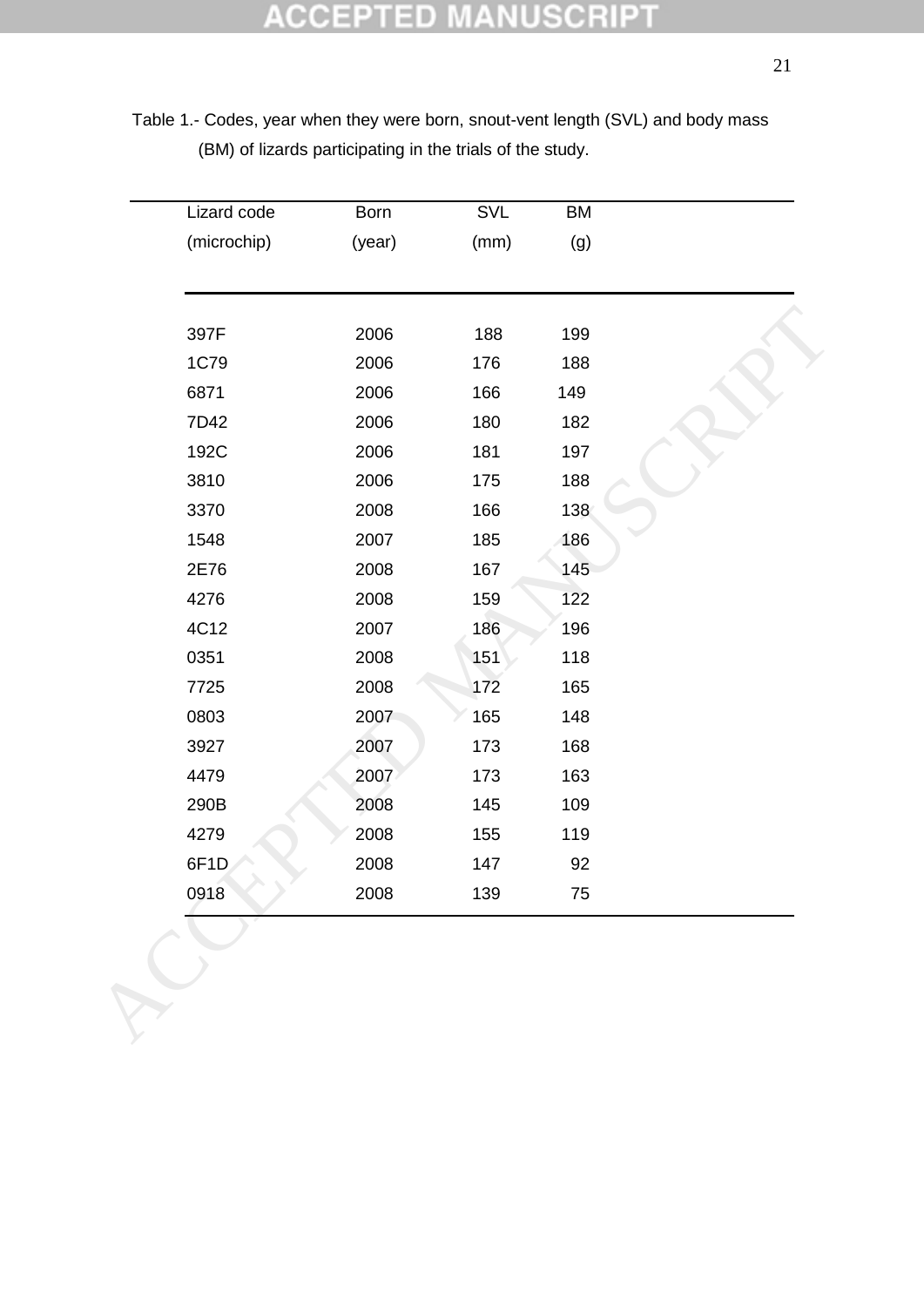Table 1.- Codes, year when they were born, snout-vent length (SVL) and body mass (BM) of lizards participating in the trials of the study.

| Lizard code       | Born   | SVL  | BM  |  |
|-------------------|--------|------|-----|--|
| (microchip)       | (year) | (mm) | (g) |  |
|                   |        |      |     |  |
| 397F              | 2006   | 188  | 199 |  |
| <b>1C79</b>       | 2006   | 176  | 188 |  |
| 6871              | 2006   | 166  | 149 |  |
| 7D42              | 2006   | 180  | 182 |  |
| 192C              | 2006   | 181  | 197 |  |
| 3810              | 2006   | 175  | 188 |  |
| 3370              | 2008   | 166  | 138 |  |
| 1548              | 2007   | 185  | 186 |  |
| 2E76              | 2008   | 167  | 145 |  |
| 4276              | 2008   | 159  | 122 |  |
| 4C12              | 2007   | 186  | 196 |  |
| 0351              | 2008   | 151  | 118 |  |
| 7725              | 2008   | 172  | 165 |  |
| 0803              | 2007   | 165  | 148 |  |
| 3927              | 2007   | 173  | 168 |  |
| 4479              | 2007   | 173  | 163 |  |
| 290B              | 2008   | 145  | 109 |  |
| 4279              | 2008   | 155  | 119 |  |
| 6F <sub>1</sub> D | 2008   | 147  | 92  |  |
| 0918              | 2008   | 139  | 75  |  |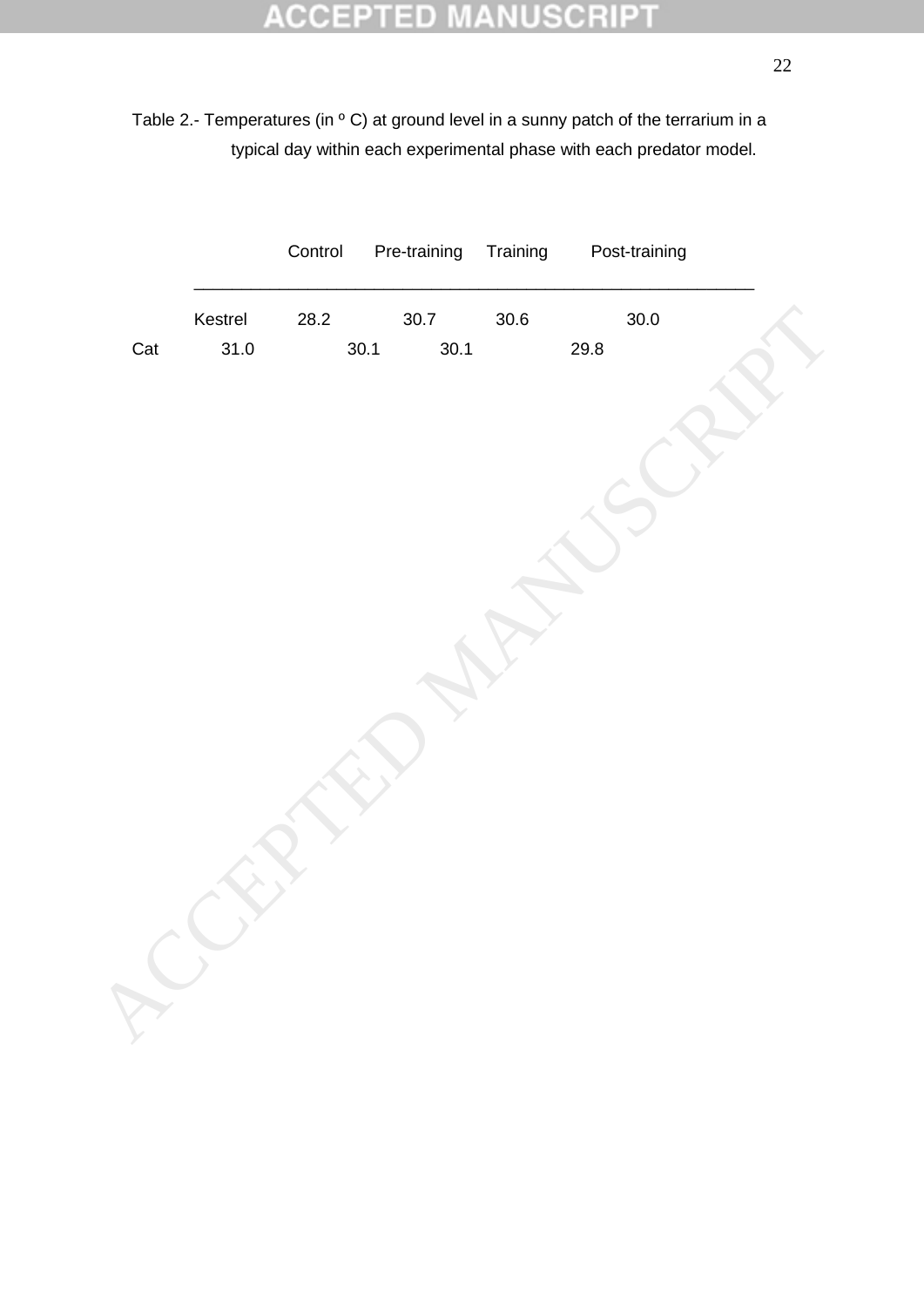# **ACCEPTED MANUSCRIPT**

Table 2.- Temperatures (in ° C) at ground level in a sunny patch of the terrarium in a typical day within each experimental phase with each predator model.

|     |         | Control | Pre-training | Training | Post-training |
|-----|---------|---------|--------------|----------|---------------|
|     | Kestrel | 28.2    | 30.7         | 30.6     | $30.0\,$      |
| Cat | 31.0    |         | 30.1<br>30.1 |          | 29.8          |
|     |         |         |              |          |               |
|     |         |         |              |          |               |
|     |         |         |              |          |               |
|     |         |         |              |          |               |
|     |         |         |              |          |               |
|     |         |         |              |          |               |
|     |         |         |              |          |               |
|     |         |         |              |          |               |
|     |         |         |              |          |               |
|     |         |         |              |          |               |
|     |         |         |              |          |               |
|     |         |         |              |          |               |
|     |         |         |              |          |               |
|     |         |         |              |          |               |
|     |         |         |              |          |               |
|     |         |         |              |          |               |
|     |         |         |              |          |               |
|     |         |         |              |          |               |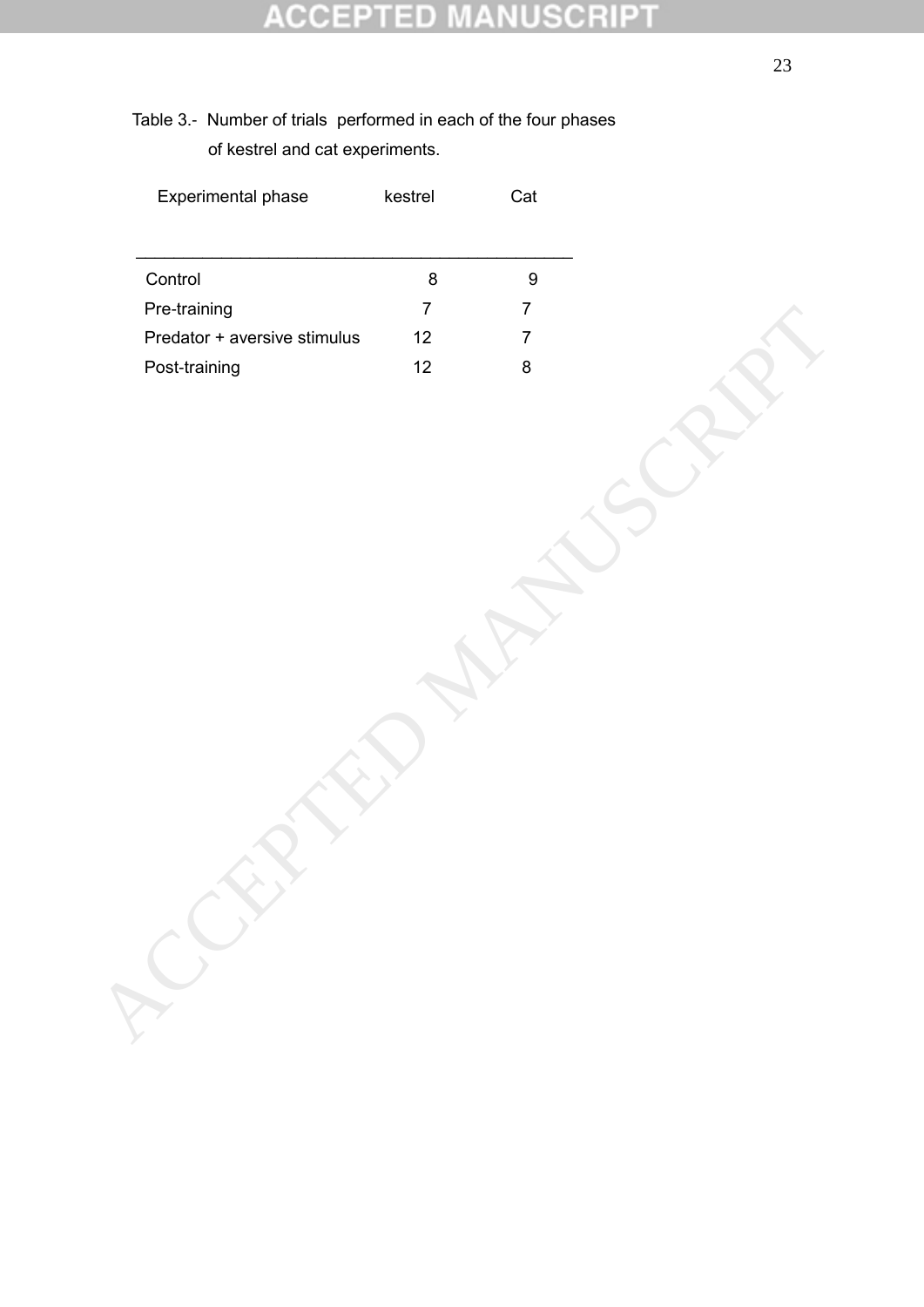### R 10 P C CO

Table 3.- Number of trials performed in each of the four phases of kestrel and cat experiments.

| Experimental phase           | kestrel           | Cat              |  |
|------------------------------|-------------------|------------------|--|
|                              |                   |                  |  |
| Control                      | $\bf 8$           | $\boldsymbol{9}$ |  |
| Pre-training                 | $\overline{7}$    | $\overline{7}$   |  |
| Predator + aversive stimulus | $12 \overline{ }$ | $\overline{7}$   |  |
| Post-training                | $12 \overline{ }$ | $\bf 8$          |  |
|                              |                   |                  |  |
|                              |                   |                  |  |
|                              |                   |                  |  |
|                              |                   |                  |  |
|                              |                   |                  |  |
|                              |                   |                  |  |
|                              |                   |                  |  |
|                              |                   |                  |  |
|                              |                   |                  |  |
|                              |                   |                  |  |
|                              |                   |                  |  |
|                              |                   |                  |  |
|                              |                   |                  |  |
|                              |                   |                  |  |
|                              |                   |                  |  |
|                              |                   |                  |  |
|                              |                   |                  |  |
|                              |                   |                  |  |
|                              |                   |                  |  |
|                              |                   |                  |  |
|                              |                   |                  |  |
|                              |                   |                  |  |